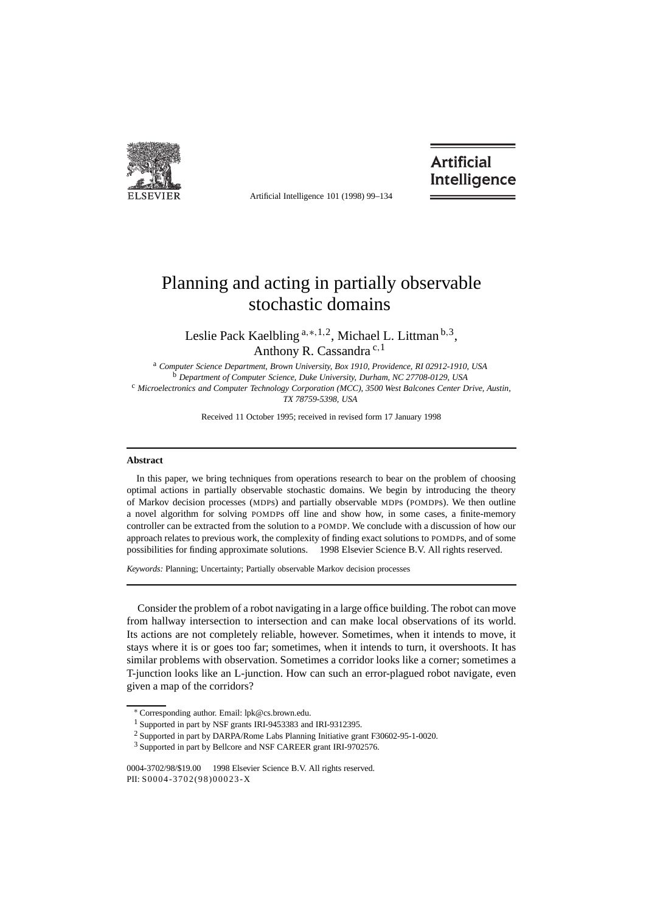

Artificial Intelligence 101 (1998) 99–134

# **Artificial** Intelligence

# Planning and acting in partially observable stochastic domains

Leslie Pack Kaelbling <sup>a</sup>*,*∗*,*1*,*2, Michael L. Littman <sup>b</sup>*,*3, Anthony R. Cassandra <sup>c, 1</sup>

<sup>a</sup> *Computer Science Department, Brown University, Box 1910, Providence, RI 02912-1910, USA* <sup>b</sup> *Department of Computer Science, Duke University, Durham, NC 27708-0129, USA*<br><sup>c</sup> *Microelectronics and Computer Technology Corporation (MCC), 3500 West Balcones Center Drive, Austin, TX 78759-5398, USA*

Received 11 October 1995; received in revised form 17 January 1998

#### **Abstract**

In this paper, we bring techniques from operations research to bear on the problem of choosing optimal actions in partially observable stochastic domains. We begin by introducing the theory of Markov decision processes (MDPs) and partially observable MDPs (POMDPs). We then outline a novel algorithm for solving POMDPs off line and show how, in some cases, a finite-memory controller can be extracted from the solution to a POMDP. We conclude with a discussion of how our approach relates to previous work, the complexity of finding exact solutions to POMDPs, and of some possibilities for finding approximate solutions.  $© 1998$  Elsevier Science B.V. All rights reserved.

*Keywords:* Planning; Uncertainty; Partially observable Markov decision processes

Consider the problem of a robot navigating in a large office building. The robot can move from hallway intersection to intersection and can make local observations of its world. Its actions are not completely reliable, however. Sometimes, when it intends to move, it stays where it is or goes too far; sometimes, when it intends to turn, it overshoots. It has similar problems with observation. Sometimes a corridor looks like a corner; sometimes a T-junction looks like an L-junction. How can such an error-plagued robot navigate, even given a map of the corridors?

<sup>∗</sup> Corresponding author. Email: lpk@cs.brown.edu.

<sup>1</sup> Supported in part by NSF grants IRI-9453383 and IRI-9312395.

<sup>2</sup> Supported in part by DARPA/Rome Labs Planning Initiative grant F30602-95-1-0020.

<sup>3</sup> Supported in part by Bellcore and NSF CAREER grant IRI-9702576.

<sup>0004-3702/98/\$19.00</sup> 1998 Elsevier Science B.V. All rights reserved. PII: S0004-3702(98)00023-X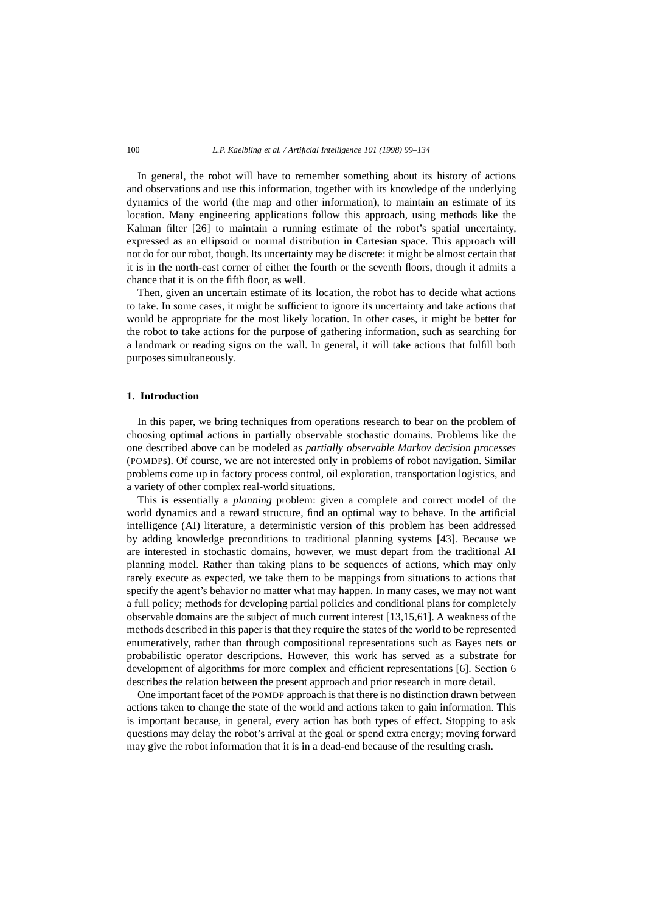In general, the robot will have to remember something about its history of actions and observations and use this information, together with its knowledge of the underlying dynamics of the world (the map and other information), to maintain an estimate of its location. Many engineering applications follow this approach, using methods like the Kalman filter [26] to maintain a running estimate of the robot's spatial uncertainty, expressed as an ellipsoid or normal distribution in Cartesian space. This approach will not do for our robot, though. Its uncertainty may be discrete: it might be almost certain that it is in the north-east corner of either the fourth or the seventh floors, though it admits a chance that it is on the fifth floor, as well.

Then, given an uncertain estimate of its location, the robot has to decide what actions to take. In some cases, it might be sufficient to ignore its uncertainty and take actions that would be appropriate for the most likely location. In other cases, it might be better for the robot to take actions for the purpose of gathering information, such as searching for a landmark or reading signs on the wall. In general, it will take actions that fulfill both purposes simultaneously.

# **1. Introduction**

In this paper, we bring techniques from operations research to bear on the problem of choosing optimal actions in partially observable stochastic domains. Problems like the one described above can be modeled as *partially observable Markov decision processes* (POMDPs). Of course, we are not interested only in problems of robot navigation. Similar problems come up in factory process control, oil exploration, transportation logistics, and a variety of other complex real-world situations.

This is essentially a *planning* problem: given a complete and correct model of the world dynamics and a reward structure, find an optimal way to behave. In the artificial intelligence (AI) literature, a deterministic version of this problem has been addressed by adding knowledge preconditions to traditional planning systems [43]. Because we are interested in stochastic domains, however, we must depart from the traditional AI planning model. Rather than taking plans to be sequences of actions, which may only rarely execute as expected, we take them to be mappings from situations to actions that specify the agent's behavior no matter what may happen. In many cases, we may not want a full policy; methods for developing partial policies and conditional plans for completely observable domains are the subject of much current interest [13,15,61]. A weakness of the methods described in this paper is that they require the states of the world to be represented enumeratively, rather than through compositional representations such as Bayes nets or probabilistic operator descriptions. However, this work has served as a substrate for development of algorithms for more complex and efficient representations [6]. Section 6 describes the relation between the present approach and prior research in more detail.

One important facet of the POMDP approach is that there is no distinction drawn between actions taken to change the state of the world and actions taken to gain information. This is important because, in general, every action has both types of effect. Stopping to ask questions may delay the robot's arrival at the goal or spend extra energy; moving forward may give the robot information that it is in a dead-end because of the resulting crash.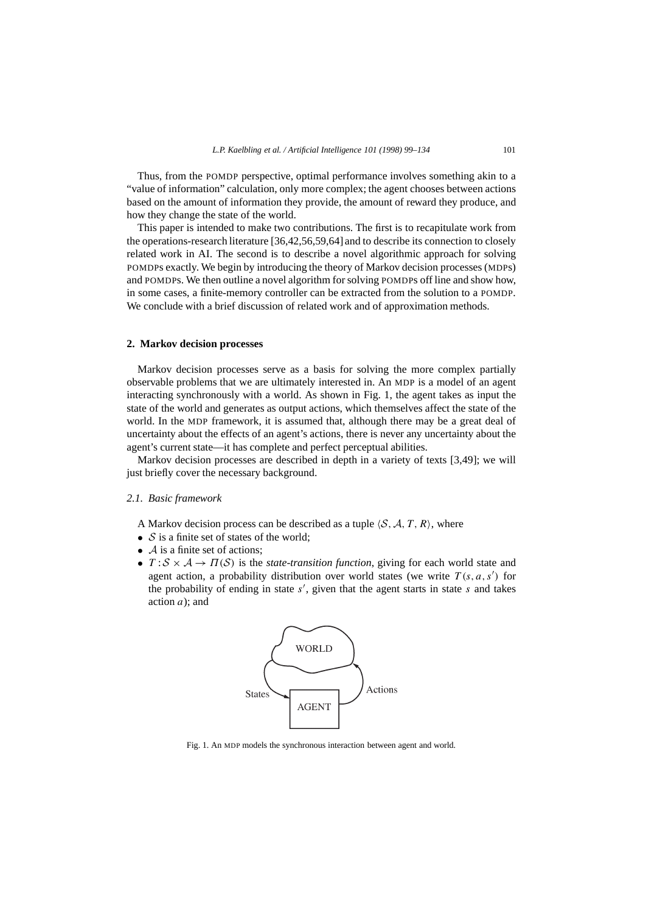Thus, from the POMDP perspective, optimal performance involves something akin to a "value of information" calculation, only more complex; the agent chooses between actions based on the amount of information they provide, the amount of reward they produce, and how they change the state of the world.

This paper is intended to make two contributions. The first is to recapitulate work from the operations-research literature [36,42,56,59,64] and to describe its connection to closely related work in AI. The second is to describe a novel algorithmic approach for solving POMDPs exactly. We begin by introducing the theory of Markov decision processes (MDPs) and POMDPs. We then outline a novel algorithm for solving POMDPs off line and show how, in some cases, a finite-memory controller can be extracted from the solution to a POMDP. We conclude with a brief discussion of related work and of approximation methods.

# **2. Markov decision processes**

Markov decision processes serve as a basis for solving the more complex partially observable problems that we are ultimately interested in. An MDP is a model of an agent interacting synchronously with a world. As shown in Fig. 1, the agent takes as input the state of the world and generates as output actions, which themselves affect the state of the world. In the MDP framework, it is assumed that, although there may be a great deal of uncertainty about the effects of an agent's actions, there is never any uncertainty about the agent's current state—it has complete and perfect perceptual abilities.

Markov decision processes are described in depth in a variety of texts [3,49]; we will just briefly cover the necessary background.

# *2.1. Basic framework*

A Markov decision process can be described as a tuple  $\langle S, A, T, R \rangle$ , where

- $S$  is a finite set of states of the world;
- $\bullet$  *A* is a finite set of actions:
- $T: S \times A \rightarrow \Pi(S)$  is the *state-transition function*, giving for each world state and agent action, a probability distribution over world states (we write  $T(s, a, s')$  for the probability of ending in state  $s'$ , given that the agent starts in state  $s$  and takes action *a*); and



Fig. 1. An MDP models the synchronous interaction between agent and world.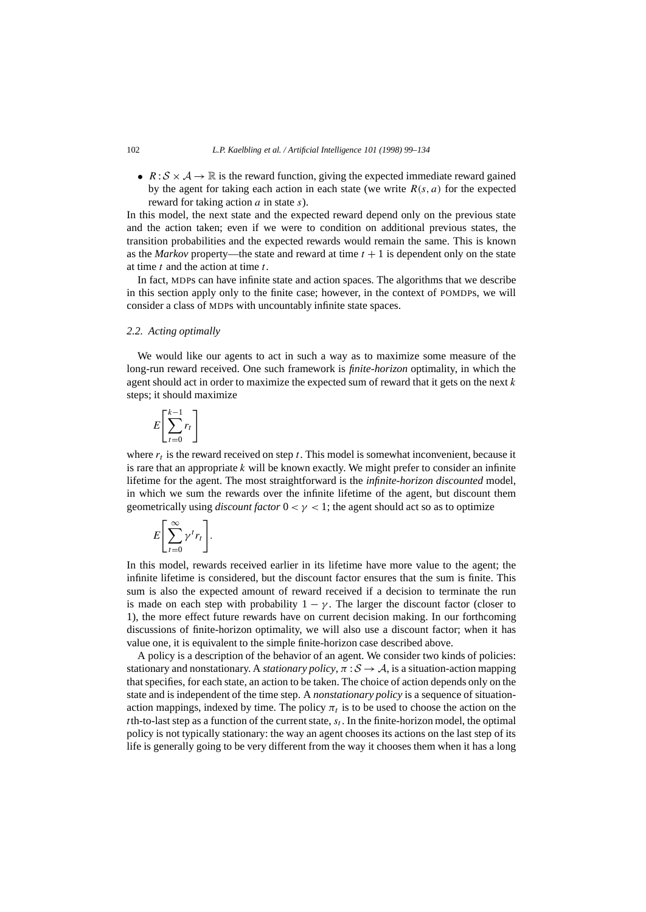•  $R: S \times A \rightarrow \mathbb{R}$  is the reward function, giving the expected immediate reward gained by the agent for taking each action in each state (we write  $R(s, a)$ ) for the expected reward for taking action *a* in state *s*).

In this model, the next state and the expected reward depend only on the previous state and the action taken; even if we were to condition on additional previous states, the transition probabilities and the expected rewards would remain the same. This is known as the *Markov* property—the state and reward at time  $t + 1$  is dependent only on the state at time *t* and the action at time *t*.

In fact, MDPs can have infinite state and action spaces. The algorithms that we describe in this section apply only to the finite case; however, in the context of POMDPs, we will consider a class of MDPs with uncountably infinite state spaces.

# *2.2. Acting optimally*

We would like our agents to act in such a way as to maximize some measure of the long-run reward received. One such framework is *finite-horizon* optimality, in which the agent should act in order to maximize the expected sum of reward that it gets on the next *k* steps; it should maximize

$$
E\left[\sum_{t=0}^{k-1} r_t\right]
$$

where  $r_t$  is the reward received on step  $t$ . This model is somewhat inconvenient, because it is rare that an appropriate  $k$  will be known exactly. We might prefer to consider an infinite lifetime for the agent. The most straightforward is the *infinite-horizon discounted* model, in which we sum the rewards over the infinite lifetime of the agent, but discount them geometrically using *discount factor*  $0 < \gamma < 1$ ; the agent should act so as to optimize

$$
E\left[\sum_{t=0}^{\infty} \gamma^t r_t\right].
$$

In this model, rewards received earlier in its lifetime have more value to the agent; the infinite lifetime is considered, but the discount factor ensures that the sum is finite. This sum is also the expected amount of reward received if a decision to terminate the run is made on each step with probability  $1 - \gamma$ . The larger the discount factor (closer to 1), the more effect future rewards have on current decision making. In our forthcoming discussions of finite-horizon optimality, we will also use a discount factor; when it has value one, it is equivalent to the simple finite-horizon case described above.

A policy is a description of the behavior of an agent. We consider two kinds of policies: stationary and nonstationary. A *stationary policy*,  $\pi : \mathcal{S} \to \mathcal{A}$ , is a situation-action mapping that specifies, for each state, an action to be taken. The choice of action depends only on the state and is independent of the time step. A *nonstationary policy* is a sequence of situationaction mappings, indexed by time. The policy  $\pi_t$  is to be used to choose the action on the *t*th-to-last step as a function of the current state,  $s_t$ . In the finite-horizon model, the optimal policy is not typically stationary: the way an agent chooses its actions on the last step of its life is generally going to be very different from the way it chooses them when it has a long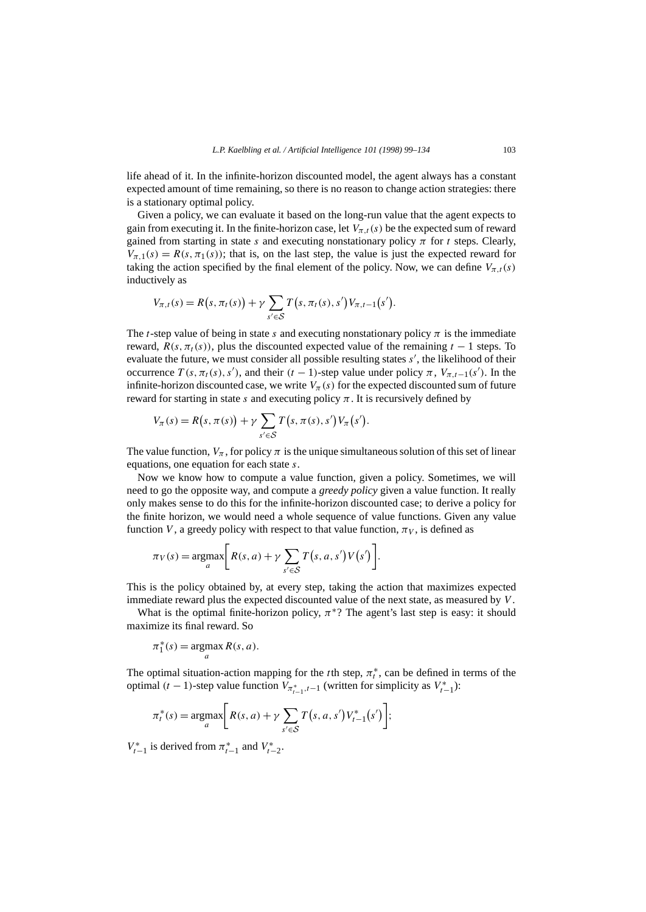life ahead of it. In the infinite-horizon discounted model, the agent always has a constant expected amount of time remaining, so there is no reason to change action strategies: there is a stationary optimal policy.

Given a policy, we can evaluate it based on the long-run value that the agent expects to gain from executing it. In the finite-horizon case, let  $V_{\pi,t}(s)$  be the expected sum of reward gained from starting in state *s* and executing nonstationary policy  $\pi$  for *t* steps. Clearly,  $V_{\pi,1}(s) = R(s, \pi_1(s))$ ; that is, on the last step, the value is just the expected reward for taking the action specified by the final element of the policy. Now, we can define  $V_{\pi,t}(s)$ inductively as

$$
V_{\pi,t}(s) = R(s, \pi_t(s)) + \gamma \sum_{s' \in S} T(s, \pi_t(s), s') V_{\pi, t-1}(s').
$$

The *t*-step value of being in state *s* and executing nonstationary policy  $\pi$  is the immediate reward,  $R(s, \pi_t(s))$ , plus the discounted expected value of the remaining  $t - 1$  steps. To evaluate the future, we must consider all possible resulting states s', the likelihood of their occurrence *T*(*s*, *π*<sub>*t*</sub>(*s*), *s'*), and their (*t* − 1)-step value under policy *π*,  $V$ <sub>*π*,*t*−1</sub>(*s'*). In the infinite-horizon discounted case, we write  $V_\pi(s)$  for the expected discounted sum of future reward for starting in state *s* and executing policy  $\pi$ . It is recursively defined by

$$
V_{\pi}(s) = R(s, \pi(s)) + \gamma \sum_{s' \in S} T(s, \pi(s), s') V_{\pi}(s').
$$

The value function,  $V_\pi$ , for policy  $\pi$  is the unique simultaneous solution of this set of linear equations, one equation for each state *s*.

Now we know how to compute a value function, given a policy. Sometimes, we will need to go the opposite way, and compute a *greedy policy* given a value function. It really only makes sense to do this for the infinite-horizon discounted case; to derive a policy for the finite horizon, we would need a whole sequence of value functions. Given any value function *V*, a greedy policy with respect to that value function,  $\pi_V$ , is defined as

$$
\pi_V(s) = \underset{a}{\text{argmax}} \bigg[ R(s, a) + \gamma \sum_{s' \in \mathcal{S}} T(s, a, s') V(s') \bigg].
$$

This is the policy obtained by, at every step, taking the action that maximizes expected immediate reward plus the expected discounted value of the next state, as measured by *V* .

What is the optimal finite-horizon policy,  $\pi$ <sup>\*</sup>? The agent's last step is easy: it should maximize its final reward. So

$$
\pi_1^*(s) = \underset{a}{\operatorname{argmax}} R(s, a).
$$

The optimal situation-action mapping for the *t*th step,  $\pi_t^*$ , can be defined in terms of the optimal  $(t - 1)$ -step value function  $V_{\pi_{t-1}^*, t-1}$  (written for simplicity as  $V_{t-1}^*$ ):

$$
\pi_t^*(s) = \underset{a}{\operatorname{argmax}} \bigg[ R(s, a) + \gamma \sum_{s' \in \mathcal{S}} T(s, a, s') V_{t-1}^*(s') \bigg];
$$

 $V_{t-1}^*$  is derived from  $\pi_{t-1}^*$  and  $V_{t-2}^*$ .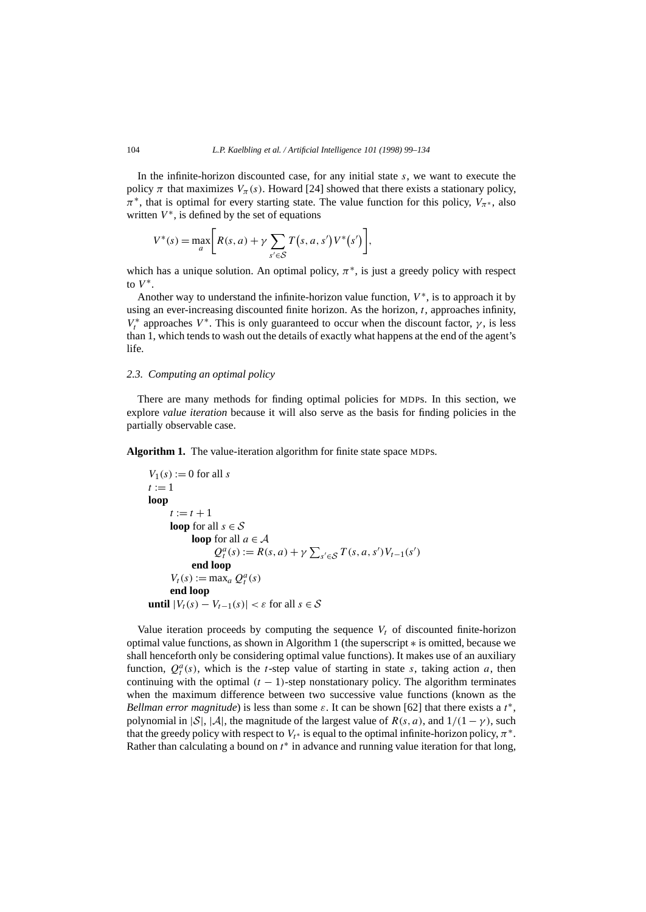In the infinite-horizon discounted case, for any initial state *s*, we want to execute the policy  $\pi$  that maximizes  $V_{\pi}(s)$ . Howard [24] showed that there exists a stationary policy,  $\pi^*$ , that is optimal for every starting state. The value function for this policy,  $V_{\pi^*}$ , also written  $V^*$ , is defined by the set of equations

$$
V^*(s) = \max_a \bigg[ R(s, a) + \gamma \sum_{s' \in \mathcal{S}} T(s, a, s') V^*(s') \bigg],
$$

which has a unique solution. An optimal policy,  $\pi^*$ , is just a greedy policy with respect to  $V^*$ .

Another way to understand the infinite-horizon value function,  $V^*$ , is to approach it by using an ever-increasing discounted finite horizon. As the horizon, *t*, approaches infinity,  $V_t^*$  approaches  $V^*$ . This is only guaranteed to occur when the discount factor,  $\gamma$ , is less than 1, which tends to wash out the details of exactly what happens at the end of the agent's life.

# *2.3. Computing an optimal policy*

There are many methods for finding optimal policies for MDPs. In this section, we explore *value iteration* because it will also serve as the basis for finding policies in the partially observable case.

**Algorithm 1.** The value-iteration algorithm for finite state space MDPs.

```
V_1(s) := 0 for all s
t := 1loop
      t := t + 1loop for all s \in Sloop for all a \in AQ_t^a(s) := R(s, a) + \gamma \sum_{s' \in S} T(s, a, s') V_{t-1}(s')end loop
      V_t(s) := \max_a Q_t^a(s)end loop
until |V_t(s) - V_{t-1}(s)| < \varepsilon for all s \in S
```
Value iteration proceeds by computing the sequence  $V_t$  of discounted finite-horizon optimal value functions, as shown in Algorithm 1 (the superscript ∗ is omitted, because we shall henceforth only be considering optimal value functions). It makes use of an auxiliary function,  $Q_t^a(s)$ , which is the *t*-step value of starting in state *s*, taking action *a*, then continuing with the optimal  $(t - 1)$ -step nonstationary policy. The algorithm terminates when the maximum difference between two successive value functions (known as the *Bellman error magnitude*) is less than some *ε*. It can be shown [62] that there exists a *t*∗, polynomial in  $|S|$ ,  $|A|$ , the magnitude of the largest value of *R(s, a)*, and  $1/(1 - \gamma)$ , such that the greedy policy with respect to  $V_{t*}$  is equal to the optimal infinite-horizon policy,  $\pi^*$ . Rather than calculating a bound on *t*<sup>∗</sup> in advance and running value iteration for that long,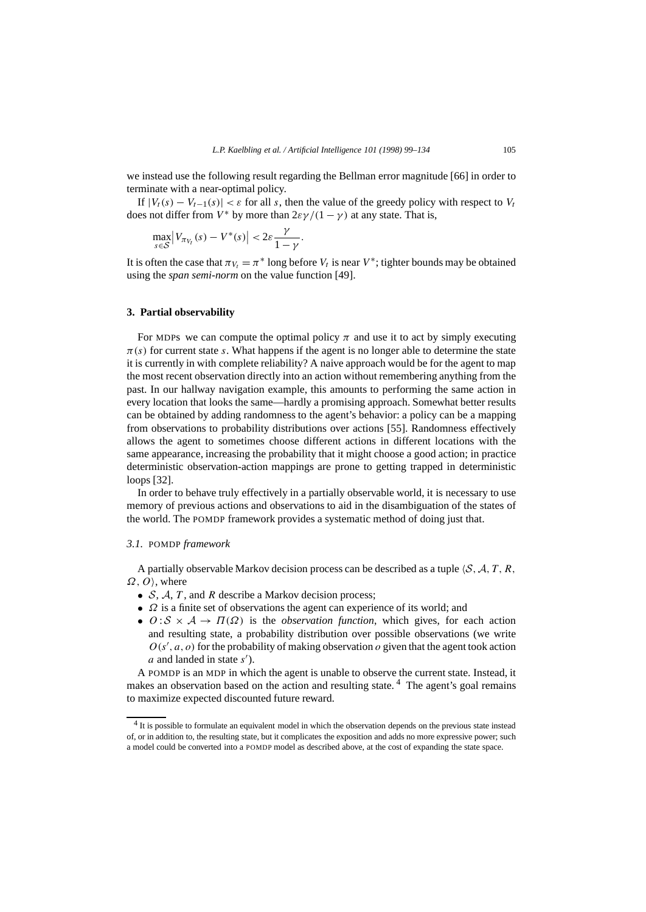we instead use the following result regarding the Bellman error magnitude [66] in order to terminate with a near-optimal policy.

If  $|V_t(s) - V_{t-1}(s)| < \varepsilon$  for all *s*, then the value of the greedy policy with respect to  $V_t$ does not differ from  $V^*$  by more than  $2\varepsilon\gamma/(1-\gamma)$  at any state. That is,

$$
\max_{s \in \mathcal{S}} \left| V_{\pi_{V_t}}(s) - V^*(s) \right| < 2\varepsilon \frac{\gamma}{1 - \gamma}.
$$

It is often the case that  $\pi_{V_t} = \pi^*$  long before  $V_t$  is near  $V^*$ ; tighter bounds may be obtained using the *span semi-norm* on the value function [49].

## **3. Partial observability**

For MDPs we can compute the optimal policy  $\pi$  and use it to act by simply executing  $\pi(s)$  for current state *s*. What happens if the agent is no longer able to determine the state it is currently in with complete reliability? A naive approach would be for the agent to map the most recent observation directly into an action without remembering anything from the past. In our hallway navigation example, this amounts to performing the same action in every location that looks the same—hardly a promising approach. Somewhat better results can be obtained by adding randomness to the agent's behavior: a policy can be a mapping from observations to probability distributions over actions [55]. Randomness effectively allows the agent to sometimes choose different actions in different locations with the same appearance, increasing the probability that it might choose a good action; in practice deterministic observation-action mappings are prone to getting trapped in deterministic loops [32].

In order to behave truly effectively in a partially observable world, it is necessary to use memory of previous actions and observations to aid in the disambiguation of the states of the world. The POMDP framework provides a systematic method of doing just that.

### *3.1.* POMDP *framework*

A partially observable Markov decision process can be described as a tuple  $\langle S, \mathcal{A}, T, R$ , *Ω*, *O*), where

- *S*, *A*, *T*, and *R* describe a Markov decision process;
- *Ω* is a finite set of observations the agent can experience of its world; and
- $O: S \times A \rightarrow \Pi(\Omega)$  is the *observation function*, which gives, for each action and resulting state, a probability distribution over possible observations (we write  $O(s', a, o)$  for the probability of making observation  $o$  given that the agent took action  $a$  and landed in state  $s'$ ).

A POMDP is an MDP in which the agent is unable to observe the current state. Instead, it makes an observation based on the action and resulting state.<sup>4</sup> The agent's goal remains to maximize expected discounted future reward.

<sup>&</sup>lt;sup>4</sup> It is possible to formulate an equivalent model in which the observation depends on the previous state instead of, or in addition to, the resulting state, but it complicates the exposition and adds no more expressive power; such a model could be converted into a POMDP model as described above, at the cost of expanding the state space.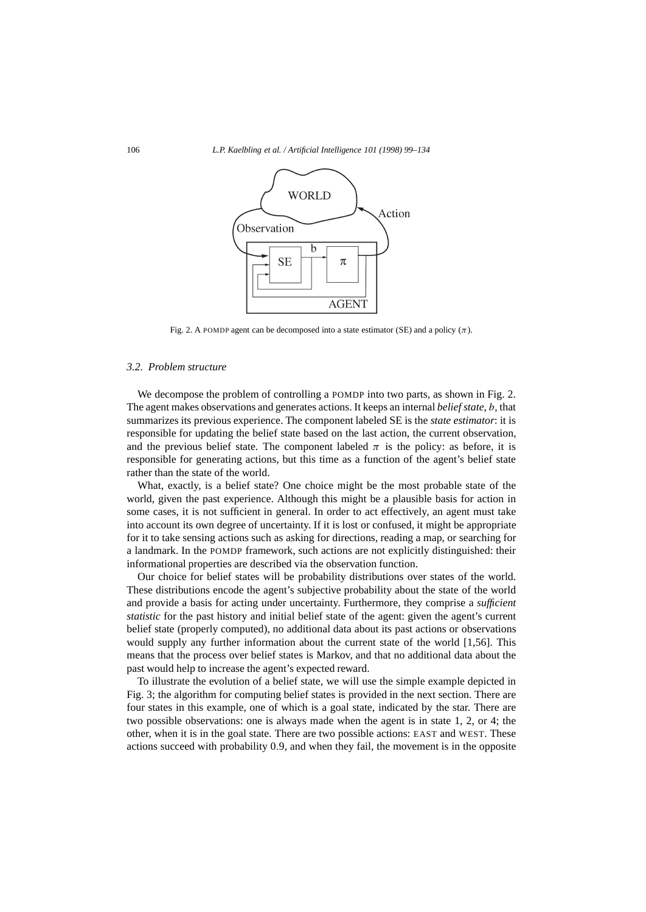

Fig. 2. A POMDP agent can be decomposed into a state estimator (SE) and a policy  $(\pi)$ .

## *3.2. Problem structure*

We decompose the problem of controlling a POMDP into two parts, as shown in Fig. 2. The agent makes observations and generates actions. It keeps an internal *belief state*, *b*, that summarizes its previous experience. The component labeled SE is the *state estimator*: it is responsible for updating the belief state based on the last action, the current observation, and the previous belief state. The component labeled  $\pi$  is the policy: as before, it is responsible for generating actions, but this time as a function of the agent's belief state rather than the state of the world.

What, exactly, is a belief state? One choice might be the most probable state of the world, given the past experience. Although this might be a plausible basis for action in some cases, it is not sufficient in general. In order to act effectively, an agent must take into account its own degree of uncertainty. If it is lost or confused, it might be appropriate for it to take sensing actions such as asking for directions, reading a map, or searching for a landmark. In the POMDP framework, such actions are not explicitly distinguished: their informational properties are described via the observation function.

Our choice for belief states will be probability distributions over states of the world. These distributions encode the agent's subjective probability about the state of the world and provide a basis for acting under uncertainty. Furthermore, they comprise a *sufficient statistic* for the past history and initial belief state of the agent: given the agent's current belief state (properly computed), no additional data about its past actions or observations would supply any further information about the current state of the world [1,56]. This means that the process over belief states is Markov, and that no additional data about the past would help to increase the agent's expected reward.

To illustrate the evolution of a belief state, we will use the simple example depicted in Fig. 3; the algorithm for computing belief states is provided in the next section. There are four states in this example, one of which is a goal state, indicated by the star. There are two possible observations: one is always made when the agent is in state 1, 2, or 4; the other, when it is in the goal state. There are two possible actions: EAST and WEST. These actions succeed with probability 0*.*9, and when they fail, the movement is in the opposite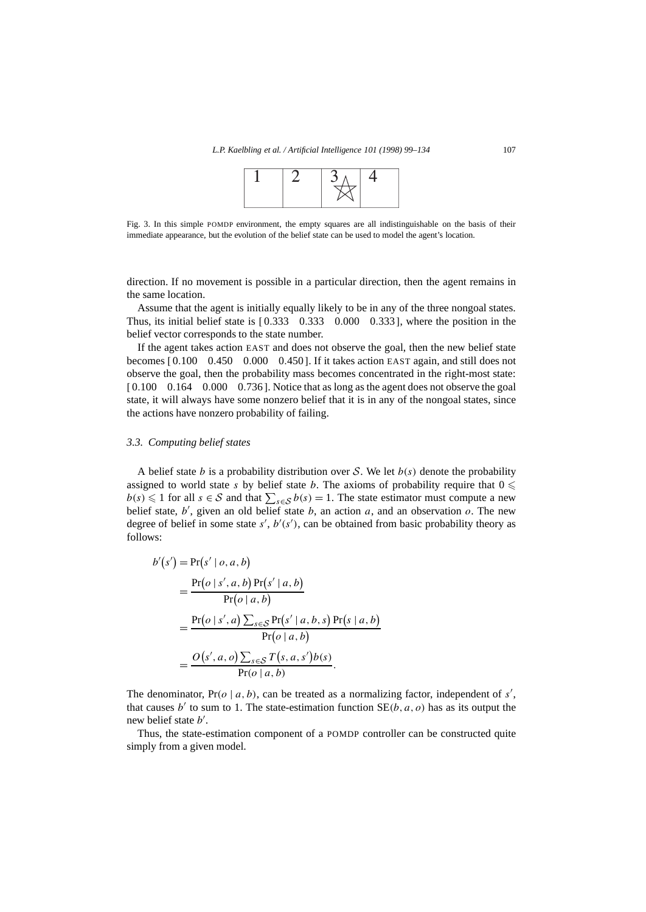

Fig. 3. In this simple POMDP environment, the empty squares are all indistinguishable on the basis of their immediate appearance, but the evolution of the belief state can be used to model the agent's location.

direction. If no movement is possible in a particular direction, then the agent remains in the same location.

Assume that the agent is initially equally likely to be in any of the three nongoal states. Thus, its initial belief state is [ 0*.*333 0*.*333 0*.*000 0*.*333], where the position in the belief vector corresponds to the state number.

If the agent takes action EAST and does not observe the goal, then the new belief state becomes [ 0*.*100 0*.*450 0*.*000 0*.*450]. If it takes action EAST again, and still does not observe the goal, then the probability mass becomes concentrated in the right-most state: [ 0*.*100 0*.*164 0*.*000 0*.*736]. Notice that as long as the agent does not observe the goal state, it will always have some nonzero belief that it is in any of the nongoal states, since the actions have nonzero probability of failing.

# *3.3. Computing belief states*

A belief state *b* is a probability distribution over S. We let  $b(s)$  denote the probability assigned to world state *s* by belief state *b*. The axioms of probability require that  $0 \leq$ *b*(*s*) ≤ 1 for all *s* ∈ S and that  $\sum_{s \in S} b(s) = 1$ . The state estimator must compute a new belief state,  $b'$ , given an old belief state  $b$ , an action  $a$ , and an observation  $o$ . The new degree of belief in some state  $s'$ ,  $b'(s')$ , can be obtained from basic probability theory as follows:

$$
b'(s') = \Pr(s' \mid o, a, b)
$$
  
= 
$$
\frac{\Pr(o \mid s', a, b) \Pr(s' \mid a, b)}{\Pr(o \mid a, b)}
$$
  
= 
$$
\frac{\Pr(o \mid s', a) \sum_{s \in S} \Pr(s' \mid a, b, s) \Pr(s \mid a, b)}{\Pr(o \mid a, b)}
$$
  
= 
$$
\frac{O(s', a, o) \sum_{s \in S} T(s, a, s') b(s)}{\Pr(o \mid a, b)}.
$$

The denominator,  $Pr(o \mid a, b)$ , can be treated as a normalizing factor, independent of s', that causes  $b'$  to sum to 1. The state-estimation function  $SE(b, a, o)$  has as its output the new belief state *b'*.

Thus, the state-estimation component of a POMDP controller can be constructed quite simply from a given model.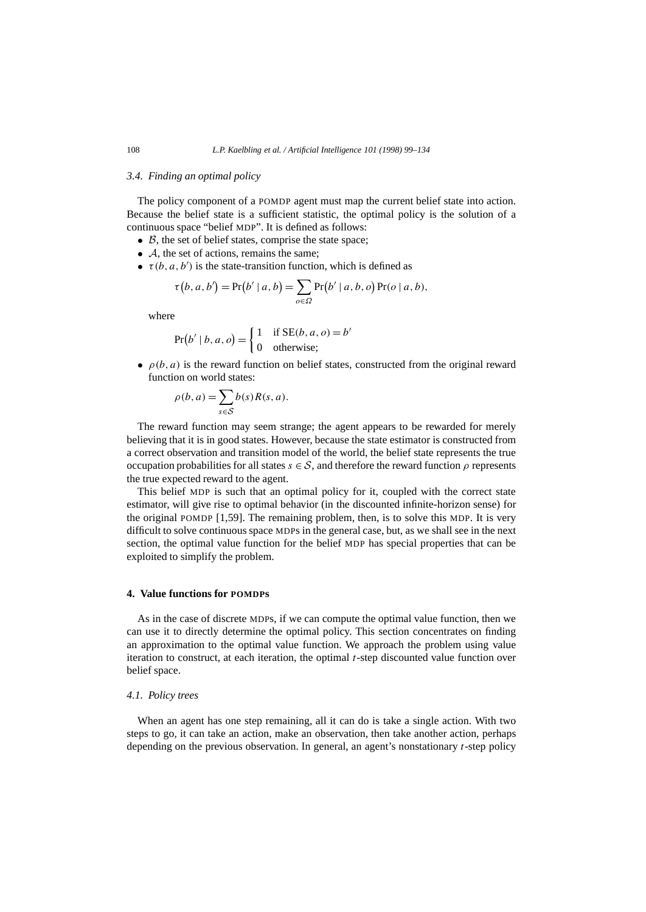# *3.4. Finding an optimal policy*

The policy component of a POMDP agent must map the current belief state into action. Because the belief state is a sufficient statistic, the optimal policy is the solution of a continuous space "belief MDP". It is defined as follows:

- $\beta$ , the set of belief states, comprise the state space;
- A, the set of actions, remains the same;
- $\tau(b, a, b')$  is the state-transition function, which is defined as

$$
\tau(b, a, b') = \Pr(b' \mid a, b) = \sum_{o \in \Omega} \Pr(b' \mid a, b, o) \Pr(o \mid a, b),
$$

where

$$
Pr(b' | b, a, o) = \begin{cases} 1 & \text{if } SE(b, a, o) = b' \\ 0 & \text{otherwise}; \end{cases}
$$

 $\rho(b, a)$  is the reward function on belief states, constructed from the original reward function on world states:

$$
\rho(b, a) = \sum_{s \in \mathcal{S}} b(s) R(s, a).
$$

The reward function may seem strange; the agent appears to be rewarded for merely believing that it is in good states. However, because the state estimator is constructed from a correct observation and transition model of the world, the belief state represents the true occupation probabilities for all states  $s \in S$ , and therefore the reward function  $\rho$  represents the true expected reward to the agent.

This belief MDP is such that an optimal policy for it, coupled with the correct state estimator, will give rise to optimal behavior (in the discounted infinite-horizon sense) for the original POMDP [1,59]. The remaining problem, then, is to solve this MDP. It is very difficult to solve continuous space MDPs in the general case, but, as we shall see in the next section, the optimal value function for the belief MDP has special properties that can be exploited to simplify the problem.

# **4. Value functions for POMDPs**

As in the case of discrete MDPs, if we can compute the optimal value function, then we can use it to directly determine the optimal policy. This section concentrates on finding an approximation to the optimal value function. We approach the problem using value iteration to construct, at each iteration, the optimal *t*-step discounted value function over belief space.

#### *4.1. Policy trees*

When an agent has one step remaining, all it can do is take a single action. With two steps to go, it can take an action, make an observation, then take another action, perhaps depending on the previous observation. In general, an agent's nonstationary *t*-step policy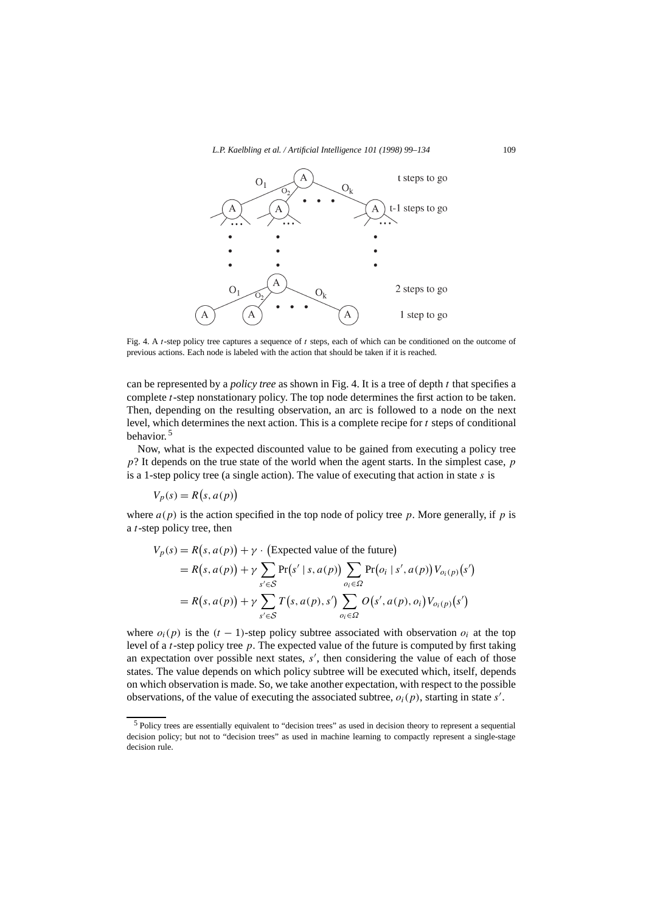*L.P. Kaelbling et al. / Artificial Intelligence 101 (1998) 99–134* 109



Fig. 4. A *t*-step policy tree captures a sequence of *t* steps, each of which can be conditioned on the outcome of previous actions. Each node is labeled with the action that should be taken if it is reached.

can be represented by a *policy tree* as shown in Fig. 4. It is a tree of depth *t* that specifies a complete *t*-step nonstationary policy. The top node determines the first action to be taken. Then, depending on the resulting observation, an arc is followed to a node on the next level, which determines the next action. This is a complete recipe for *t* steps of conditional behavior. <sup>5</sup>

Now, what is the expected discounted value to be gained from executing a policy tree *p*? It depends on the true state of the world when the agent starts. In the simplest case, *p* is a 1-step policy tree (a single action). The value of executing that action in state *s* is

$$
V_p(s) = R(s, a(p))
$$

where  $a(p)$  is the action specified in the top node of policy tree p. More generally, if p is a *t*-step policy tree, then

$$
V_p(s) = R(s, a(p)) + \gamma \cdot (\text{Expected value of the future})
$$
  
=  $R(s, a(p)) + \gamma \sum_{s' \in S} Pr(s' \mid s, a(p)) \sum_{o_i \in \Omega} Pr(o_i \mid s', a(p)) V_{o_i(p)}(s')$   
=  $R(s, a(p)) + \gamma \sum_{s' \in S} T(s, a(p), s') \sum_{o_i \in \Omega} O(s', a(p), o_i) V_{o_i(p)}(s')$ 

where  $o_i(p)$  is the  $(t-1)$ -step policy subtree associated with observation  $o_i$  at the top level of a *t*-step policy tree *p*. The expected value of the future is computed by first taking an expectation over possible next states, *s'*, then considering the value of each of those states. The value depends on which policy subtree will be executed which, itself, depends on which observation is made. So, we take another expectation, with respect to the possible observations, of the value of executing the associated subtree,  $o_i(p)$ , starting in state  $s'$ .

<sup>5</sup> Policy trees are essentially equivalent to "decision trees" as used in decision theory to represent a sequential decision policy; but not to "decision trees" as used in machine learning to compactly represent a single-stage decision rule.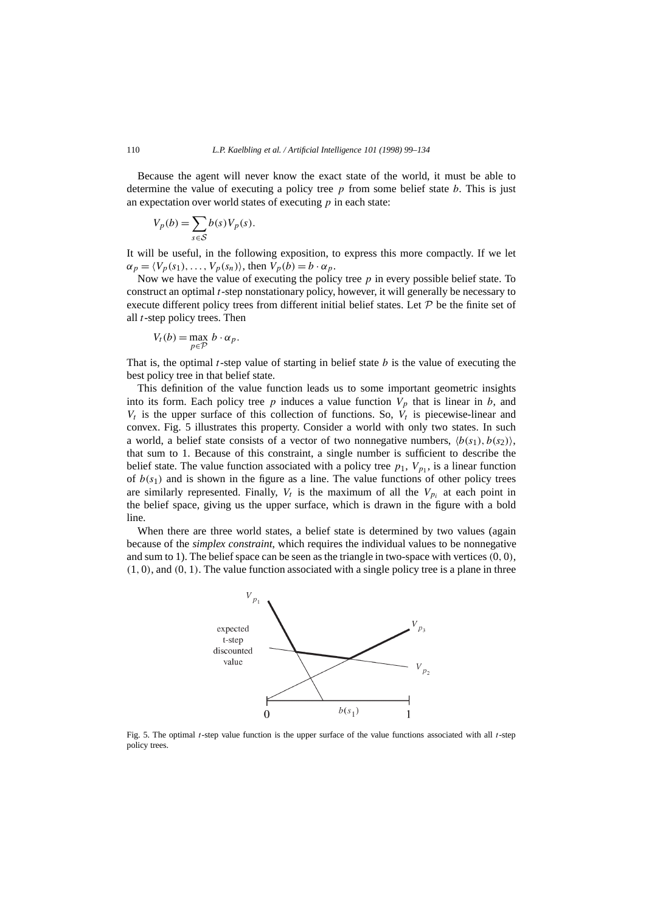Because the agent will never know the exact state of the world, it must be able to determine the value of executing a policy tree *p* from some belief state *b*. This is just an expectation over world states of executing *p* in each state:

$$
V_p(b) = \sum_{s \in \mathcal{S}} b(s) V_p(s).
$$

It will be useful, in the following exposition, to express this more compactly. If we let  $\alpha_p = \langle V_p(s_1), \ldots, V_p(s_n) \rangle$ , then  $V_p(b) = b \cdot \alpha_p$ .

Now we have the value of executing the policy tree *p* in every possible belief state. To construct an optimal *t*-step nonstationary policy, however, it will generally be necessary to execute different policy trees from different initial belief states. Let  $P$  be the finite set of all *t*-step policy trees. Then

$$
V_t(b) = \max_{p \in \mathcal{P}} b \cdot \alpha_p.
$$

That is, the optimal *t*-step value of starting in belief state *b* is the value of executing the best policy tree in that belief state.

This definition of the value function leads us to some important geometric insights into its form. Each policy tree  $p$  induces a value function  $V_p$  that is linear in  $b$ , and  $V_t$  is the upper surface of this collection of functions. So,  $V_t$  is piecewise-linear and convex. Fig. 5 illustrates this property. Consider a world with only two states. In such a world, a belief state consists of a vector of two nonnegative numbers,  $\langle b(s_1), b(s_2) \rangle$ , that sum to 1. Because of this constraint, a single number is sufficient to describe the belief state. The value function associated with a policy tree  $p_1$ ,  $V_{p_1}$ , is a linear function of  $b(s_1)$  and is shown in the figure as a line. The value functions of other policy trees are similarly represented. Finally,  $V_t$  is the maximum of all the  $V_{p_i}$  at each point in the belief space, giving us the upper surface, which is drawn in the figure with a bold line.

When there are three world states, a belief state is determined by two values (again because of the *simplex constraint*, which requires the individual values to be nonnegative and sum to 1). The belief space can be seen as the triangle in two-space with vertices *(*0*,* 0*)*, *(*1*,* 0*)*, and *(*0*,* 1*)*. The value function associated with a single policy tree is a plane in three



Fig. 5. The optimal *t*-step value function is the upper surface of the value functions associated with all *t*-step policy trees.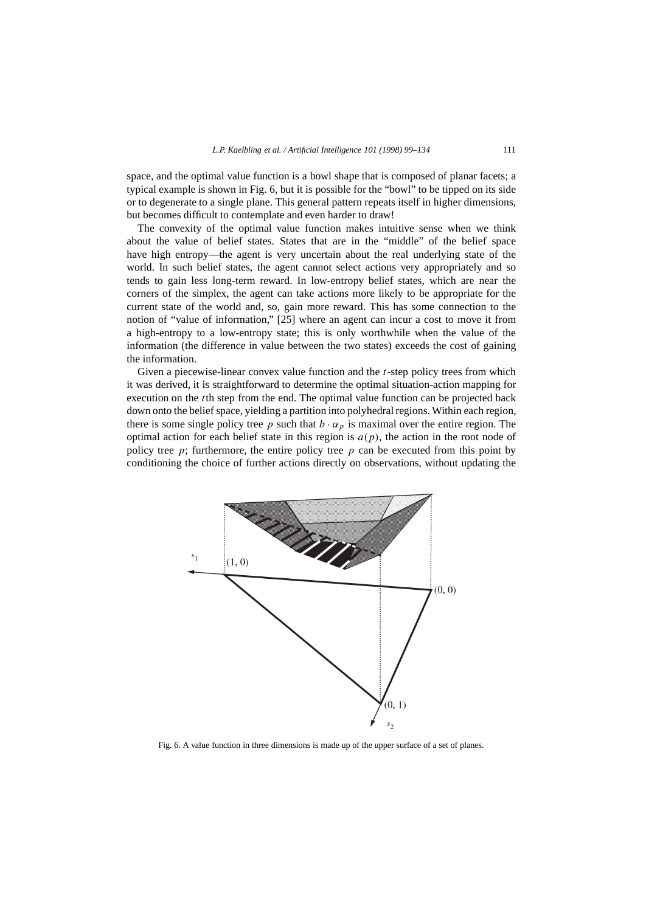space, and the optimal value function is a bowl shape that is composed of planar facets; a typical example is shown in Fig. 6, but it is possible for the "bowl" to be tipped on its side or to degenerate to a single plane. This general pattern repeats itself in higher dimensions, but becomes difficult to contemplate and even harder to draw!

The convexity of the optimal value function makes intuitive sense when we think about the value of belief states. States that are in the "middle" of the belief space have high entropy—the agent is very uncertain about the real underlying state of the world. In such belief states, the agent cannot select actions very appropriately and so tends to gain less long-term reward. In low-entropy belief states, which are near the corners of the simplex, the agent can take actions more likely to be appropriate for the current state of the world and, so, gain more reward. This has some connection to the notion of "value of information," [25] where an agent can incur a cost to move it from a high-entropy to a low-entropy state; this is only worthwhile when the value of the information (the difference in value between the two states) exceeds the cost of gaining the information.

Given a piecewise-linear convex value function and the *t*-step policy trees from which it was derived, it is straightforward to determine the optimal situation-action mapping for execution on the *t*th step from the end. The optimal value function can be projected back down onto the belief space, yielding a partition into polyhedral regions. Within each region, there is some single policy tree *p* such that  $b \cdot \alpha_p$  is maximal over the entire region. The optimal action for each belief state in this region is  $a(p)$ , the action in the root node of policy tree  $p$ ; furthermore, the entire policy tree  $p$  can be executed from this point by conditioning the choice of further actions directly on observations, without updating the



Fig. 6. A value function in three dimensions is made up of the upper surface of a set of planes.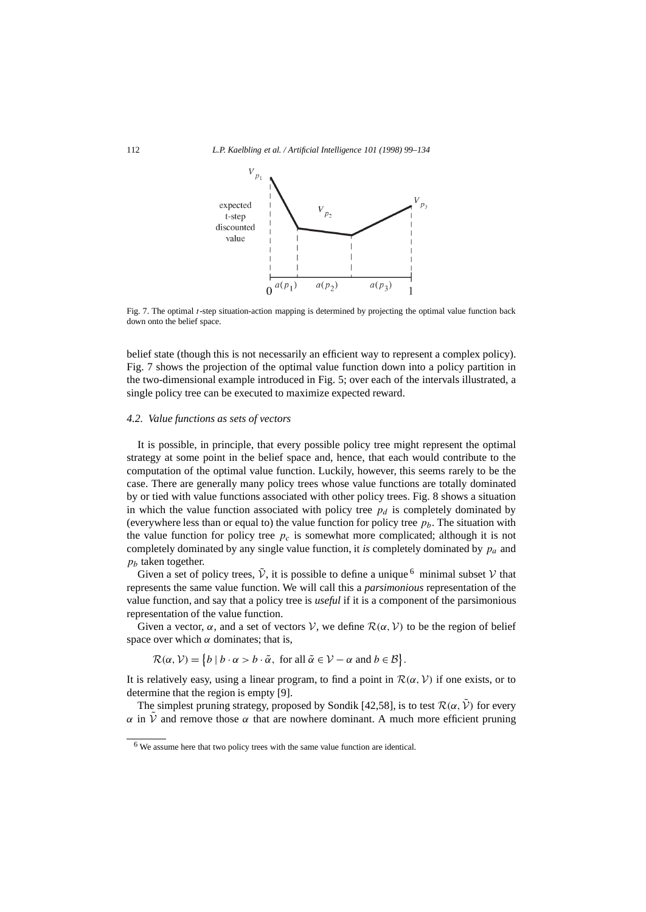

Fig. 7. The optimal *t*-step situation-action mapping is determined by projecting the optimal value function back down onto the belief space.

belief state (though this is not necessarily an efficient way to represent a complex policy). Fig. 7 shows the projection of the optimal value function down into a policy partition in the two-dimensional example introduced in Fig. 5; over each of the intervals illustrated, a single policy tree can be executed to maximize expected reward.

# *4.2. Value functions as sets of vectors*

It is possible, in principle, that every possible policy tree might represent the optimal strategy at some point in the belief space and, hence, that each would contribute to the computation of the optimal value function. Luckily, however, this seems rarely to be the case. There are generally many policy trees whose value functions are totally dominated by or tied with value functions associated with other policy trees. Fig. 8 shows a situation in which the value function associated with policy tree  $p_d$  is completely dominated by (everywhere less than or equal to) the value function for policy tree  $p<sub>b</sub>$ . The situation with the value function for policy tree  $p_c$  is somewhat more complicated; although it is not completely dominated by any single value function, it *is* completely dominated by *pa* and  $p<sub>b</sub>$  taken together.

Given a set of policy trees,  $\tilde{V}$ , it is possible to define a unique <sup>6</sup> minimal subset  $V$  that represents the same value function. We will call this a *parsimonious* representation of the value function, and say that a policy tree is *useful* if it is a component of the parsimonious representation of the value function.

Given a vector,  $\alpha$ , and a set of vectors  $\mathcal{V}$ , we define  $\mathcal{R}(\alpha, \mathcal{V})$  to be the region of belief space over which  $\alpha$  dominates; that is,

 $\mathcal{R}(\alpha, \mathcal{V}) = \{b \mid b \cdot \alpha > b \cdot \tilde{\alpha}, \text{ for all } \tilde{\alpha} \in \mathcal{V} - \alpha \text{ and } b \in \mathcal{B}\}.$ 

It is relatively easy, using a linear program, to find a point in  $\mathcal{R}(\alpha, V)$  if one exists, or to determine that the region is empty [9].

The simplest pruning strategy, proposed by Sondik [42,58], is to test  $\mathcal{R}(\alpha,\tilde{\mathcal{V}})$  for every *α* in  $\tilde{V}$  and remove those *α* that are nowhere dominant. A much more efficient pruning

<sup>6</sup> We assume here that two policy trees with the same value function are identical.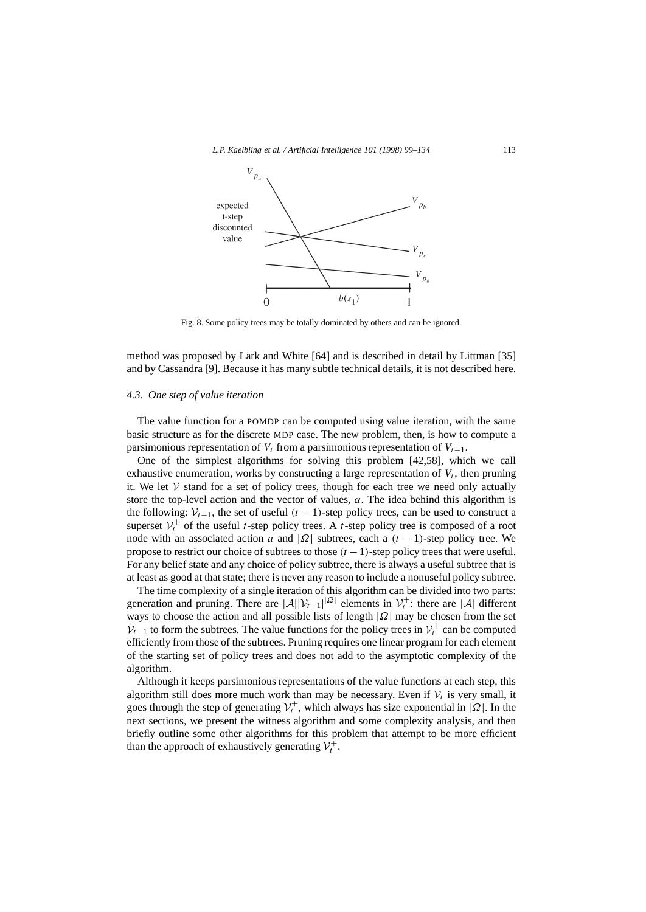

Fig. 8. Some policy trees may be totally dominated by others and can be ignored.

method was proposed by Lark and White [64] and is described in detail by Littman [35] and by Cassandra [9]. Because it has many subtle technical details, it is not described here.

# *4.3. One step of value iteration*

The value function for a POMDP can be computed using value iteration, with the same basic structure as for the discrete MDP case. The new problem, then, is how to compute a parsimonious representation of  $V_t$  from a parsimonious representation of  $V_{t-1}$ .

One of the simplest algorithms for solving this problem [42,58], which we call exhaustive enumeration, works by constructing a large representation of  $V_t$ , then pruning it. We let  $V$  stand for a set of policy trees, though for each tree we need only actually store the top-level action and the vector of values,  $\alpha$ . The idea behind this algorithm is the following:  $V_{t-1}$ , the set of useful  $(t-1)$ -step policy trees, can be used to construct a superset  $V_t^+$  of the useful *t*-step policy trees. A *t*-step policy tree is composed of a root node with an associated action *a* and  $|\Omega|$  subtrees, each a  $(t - 1)$ -step policy tree. We propose to restrict our choice of subtrees to those  $(t-1)$ -step policy trees that were useful. For any belief state and any choice of policy subtree, there is always a useful subtree that is at least as good at that state; there is never any reason to include a nonuseful policy subtree.

The time complexity of a single iteration of this algorithm can be divided into two parts: generation and pruning. There are  $|\mathcal{A}||\mathcal{V}_{t-1}|^{|\Omega|}$  elements in  $\mathcal{V}_t^+$ : there are  $|\mathcal{A}|$  different ways to choose the action and all possible lists of length |*Ω*| may be chosen from the set  $V_{t-1}$  to form the subtrees. The value functions for the policy trees in  $V_t^+$  can be computed efficiently from those of the subtrees. Pruning requires one linear program for each element of the starting set of policy trees and does not add to the asymptotic complexity of the algorithm.

Although it keeps parsimonious representations of the value functions at each step, this algorithm still does more much work than may be necessary. Even if  $V_t$  is very small, it goes through the step of generating  $V_t^+$ , which always has size exponential in  $|\Omega|$ . In the next sections, we present the witness algorithm and some complexity analysis, and then briefly outline some other algorithms for this problem that attempt to be more efficient than the approach of exhaustively generating  $V_t^{\dagger}$ .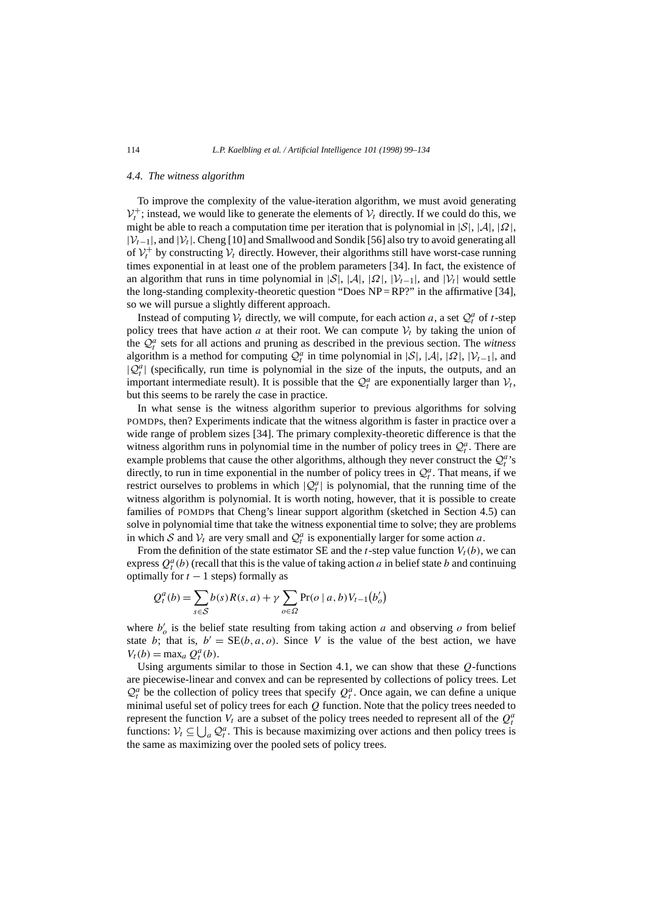# *4.4. The witness algorithm*

To improve the complexity of the value-iteration algorithm, we must avoid generating  $V_t^+$ ; instead, we would like to generate the elements of  $V_t$  directly. If we could do this, we might be able to reach a computation time per iteration that is polynomial in  $|S|$ ,  $|A|$ ,  $|Ω|$ , |V*t*−1|, and |V*t*|. Cheng [10] and Smallwood and Sondik [56] also try to avoid generating all of  $V_t^+$  by constructing  $V_t$  directly. However, their algorithms still have worst-case running times exponential in at least one of the problem parameters [34]. In fact, the existence of an algorithm that runs in time polynomial in  $|S|$ ,  $|A|$ ,  $|S|$ ,  $|\mathcal{V}_{t-1}|$ , and  $|\mathcal{V}_t|$  would settle the long-standing complexity-theoretic question "Does NP = RP?" in the affirmative [34], so we will pursue a slightly different approach.

Instead of computing  $V_t$  directly, we will compute, for each action *a*, a set  $Q_t^a$  of *t*-step policy trees that have action *a* at their root. We can compute  $V_t$  by taking the union of the  $Q_t^a$  sets for all actions and pruning as described in the previous section. The *witness* algorithm is a method for computing  $Q_t^a$  in time polynomial in  $|S|$ ,  $|A|$ ,  $|Ω|$ ,  $|V_{t-1}|$ , and  $|Q_t^a|$  (specifically, run time is polynomial in the size of the inputs, the outputs, and an important intermediate result). It is possible that the  $Q_t^a$  are exponentially larger than  $V_t$ , but this seems to be rarely the case in practice.

In what sense is the witness algorithm superior to previous algorithms for solving POMDPs, then? Experiments indicate that the witness algorithm is faster in practice over a wide range of problem sizes [34]. The primary complexity-theoretic difference is that the witness algorithm runs in polynomial time in the number of policy trees in  $Q_t^a$ . There are example problems that cause the other algorithms, although they never construct the  $Q_t^a$ 's directly, to run in time exponential in the number of policy trees in  $\mathcal{Q}_t^a$ . That means, if we restrict ourselves to problems in which  $|Q_t^a|$  is polynomial, that the running time of the witness algorithm is polynomial. It is worth noting, however, that it is possible to create families of POMDPs that Cheng's linear support algorithm (sketched in Section 4.5) can solve in polynomial time that take the witness exponential time to solve; they are problems in which S and  $V_t$  are very small and  $Q_t^a$  is exponentially larger for some action *a*.

From the definition of the state estimator SE and the *t*-step value function  $V_t(b)$ , we can express  $Q_t^a(b)$  (recall that this is the value of taking action *a* in belief state *b* and continuing optimally for  $t - 1$  steps) formally as

$$
Q_t^a(b) = \sum_{s \in S} b(s)R(s, a) + \gamma \sum_{o \in \Omega} \Pr(o \mid a, b) V_{t-1}(b'_o)
$$

where  $b'_{\alpha}$  is the belief state resulting from taking action *a* and observing *o* from belief state *b*; that is,  $b' = SE(b, a, o)$ . Since *V* is the value of the best action, we have  $V_t(b) = \max_a Q_t^a(b).$ 

Using arguments similar to those in Section 4.1, we can show that these *Q*-functions are piecewise-linear and convex and can be represented by collections of policy trees. Let  $Q_t^a$  be the collection of policy trees that specify  $Q_t^a$ . Once again, we can define a unique minimal useful set of policy trees for each *Q* function. Note that the policy trees needed to represent the function  $V_t$  are a subset of the policy trees needed to represent all of the  $Q_t^d$ functions:  $V_t \subseteq \bigcup_a \mathcal{Q}_t^a$ . This is because maximizing over actions and then policy trees is the same as maximizing over the pooled sets of policy trees.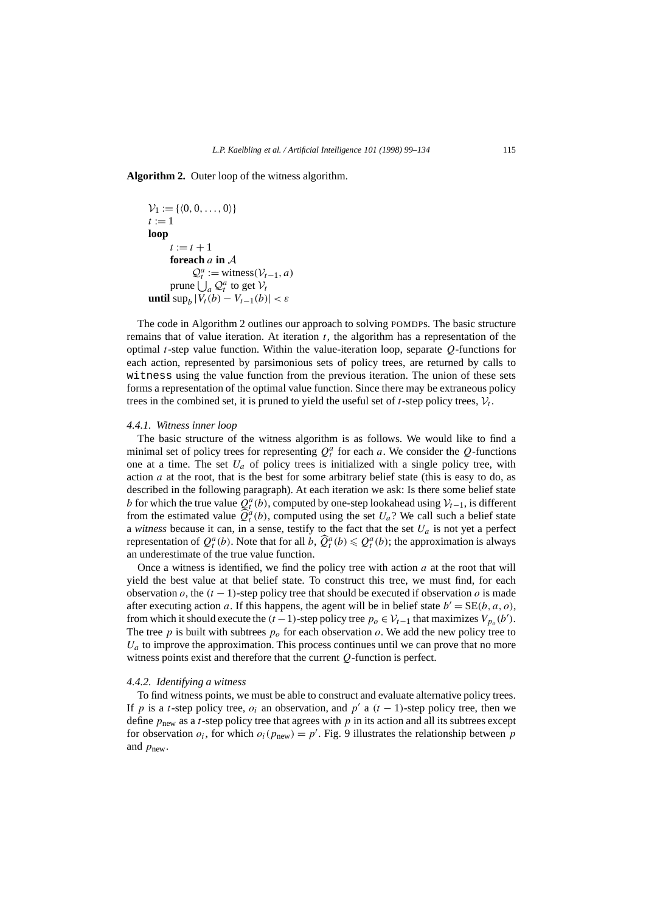**Algorithm 2.** Outer loop of the witness algorithm.

```
V_1 := \{ (0, 0, \ldots, 0) \}t := 1loop
       t := t + 1foreach a in A
               Q_t^a := \text{witness}(V_{t-1}, a)prune \bigcup_a \mathcal{Q}_t^a to get \mathcal{V}_tuntil \sup_b |V_t(b) - V_{t-1}(b)| < \varepsilon
```
The code in Algorithm 2 outlines our approach to solving POMDPs. The basic structure remains that of value iteration. At iteration  $t$ , the algorithm has a representation of the optimal *t*-step value function. Within the value-iteration loop, separate *Q*-functions for each action, represented by parsimonious sets of policy trees, are returned by calls to witness using the value function from the previous iteration. The union of these sets forms a representation of the optimal value function. Since there may be extraneous policy trees in the combined set, it is pruned to yield the useful set of  $t$ -step policy trees,  $V_t$ .

#### *4.4.1. Witness inner loop*

The basic structure of the witness algorithm is as follows. We would like to find a minimal set of policy trees for representing  $Q_t^a$  for each *a*. We consider the  $Q$ -functions one at a time. The set  $U_a$  of policy trees is initialized with a single policy tree, with action  $a$  at the root, that is the best for some arbitrary belief state (this is easy to do, as described in the following paragraph). At each iteration we ask: Is there some belief state *b* for which the true value  $Q_t^a(b)$ , computed by one-step lookahead using  $V_{t-1}$ , is different from the estimated value  $\widehat{Q}^a_t(b)$ , computed using the set  $U_a$ ? We call such a belief state a *witness* because it can, in a sense, testify to the fact that the set  $U_a$  is not yet a perfect representation of  $Q_t^a(b)$ . Note that for all  $b$ ,  $\widehat{Q}_t^a(b) \leq Q_t^a(b)$ ; the approximation is always an underestimate of the true value function.

Once a witness is identified, we find the policy tree with action *a* at the root that will yield the best value at that belief state. To construct this tree, we must find, for each observation  $o$ , the  $(t - 1)$ -step policy tree that should be executed if observation  $o$  is made after executing action *a*. If this happens, the agent will be in belief state  $b' = SE(b, a, o)$ , from which it should execute the  $(t-1)$ -step policy tree  $p_0 \in V_{t-1}$  that maximizes  $V_{p_0}(b')$ . The tree  $p$  is built with subtrees  $p<sub>o</sub>$  for each observation  $o$ . We add the new policy tree to *Ua* to improve the approximation. This process continues until we can prove that no more witness points exist and therefore that the current *Q*-function is perfect.

#### *4.4.2. Identifying a witness*

To find witness points, we must be able to construct and evaluate alternative policy trees. If *p* is a *t*-step policy tree,  $o_i$  an observation, and  $p'$  a  $(t - 1)$ -step policy tree, then we define  $p_{\text{new}}$  as a *t*-step policy tree that agrees with  $p$  in its action and all its subtrees except for observation  $o_i$ , for which  $o_i(p_{new}) = p'$ . Fig. 9 illustrates the relationship between *p* and *p*new.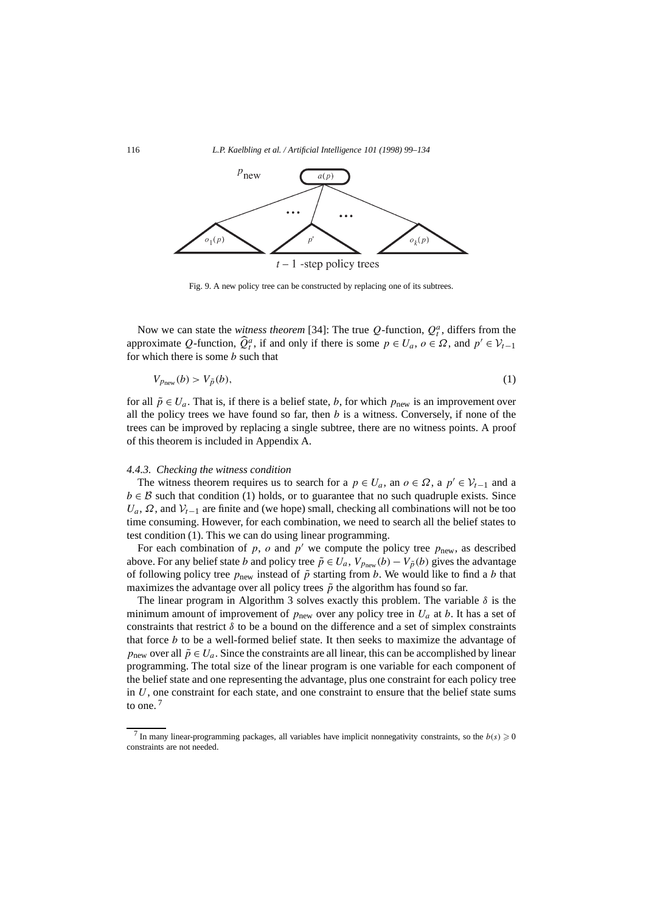

Fig. 9. A new policy tree can be constructed by replacing one of its subtrees.

Now we can state the *witness theorem* [34]: The true  $Q$ -function,  $Q_t^a$ , differs from the approximate *Q*-function,  $\widehat{Q}_t^a$ , if and only if there is some  $p \in U_a$ ,  $o \in \Omega$ , and  $p' \in V_{t-1}$ for which there is some *b* such that

$$
V_{p_{\text{new}}}(b) > V_{\tilde{p}}(b),\tag{1}
$$

for all  $\tilde{p} \in U_a$ . That is, if there is a belief state, *b*, for which  $p_{\text{new}}$  is an improvement over all the policy trees we have found so far, then  $b$  is a witness. Conversely, if none of the trees can be improved by replacing a single subtree, there are no witness points. A proof of this theorem is included in Appendix A.

#### *4.4.3. Checking the witness condition*

The witness theorem requires us to search for a  $p \in U_a$ , an  $o \in \Omega$ , a  $p' \in V_{t-1}$  and a  $b \in \mathcal{B}$  such that condition (1) holds, or to guarantee that no such quadruple exists. Since  $U_a$ ,  $\Omega$ , and  $V_{t-1}$  are finite and (we hope) small, checking all combinations will not be too time consuming. However, for each combination, we need to search all the belief states to test condition (1). This we can do using linear programming.

For each combination of  $p$ ,  $o$  and  $p'$  we compute the policy tree  $p_{\text{new}}$ , as described above. For any belief state *b* and policy tree  $\tilde{p} \in U_a$ ,  $V_{p_{\text{new}}}(b) - V_{\tilde{p}}(b)$  gives the advantage of following policy tree  $p_{\text{new}}$  instead of  $\tilde{p}$  starting from *b*. We would like to find a *b* that maximizes the advantage over all policy trees  $\tilde{p}$  the algorithm has found so far.

The linear program in Algorithm 3 solves exactly this problem. The variable *δ* is the minimum amount of improvement of  $p_{\text{new}}$  over any policy tree in  $U_a$  at *b*. It has a set of constraints that restrict *δ* to be a bound on the difference and a set of simplex constraints that force *b* to be a well-formed belief state. It then seeks to maximize the advantage of *p*<sub>new</sub> over all  $\tilde{p} \in U_a$ . Since the constraints are all linear, this can be accomplished by linear programming. The total size of the linear program is one variable for each component of the belief state and one representing the advantage, plus one constraint for each policy tree in *U*, one constraint for each state, and one constraint to ensure that the belief state sums to one.<sup>7</sup>

<sup>&</sup>lt;sup>7</sup> In many linear-programming packages, all variables have implicit nonnegativity constraints, so the  $b(s) \geq 0$ constraints are not needed.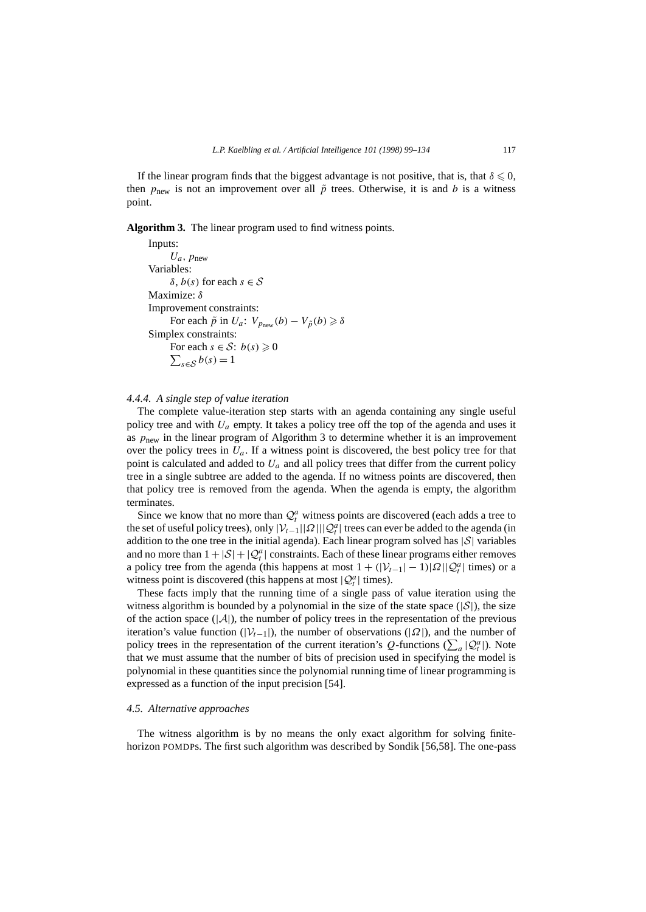If the linear program finds that the biggest advantage is not positive, that is, that  $\delta \leq 0$ , then  $p_{new}$  is not an improvement over all  $\tilde{p}$  trees. Otherwise, it is and *b* is a witness point.

**Algorithm 3.** The linear program used to find witness points.

```
Inputs:
      Ua, pnew
Variables:
      δ, b(s) for each s ∈ S
Maximize: δ
Improvement constraints:
     For each \tilde{p} in U_a: V_{p_{new}}(b) - V_{\tilde{p}}(b) \ge \deltaSimplex constraints:
      For each s \in S: b(s) \ge 0\sum_{s \in \mathcal{S}} b(s) = 1
```
#### *4.4.4. A single step of value iteration*

The complete value-iteration step starts with an agenda containing any single useful policy tree and with *Ua* empty. It takes a policy tree off the top of the agenda and uses it as *p*new in the linear program of Algorithm 3 to determine whether it is an improvement over the policy trees in *Ua*. If a witness point is discovered, the best policy tree for that point is calculated and added to *Ua* and all policy trees that differ from the current policy tree in a single subtree are added to the agenda. If no witness points are discovered, then that policy tree is removed from the agenda. When the agenda is empty, the algorithm terminates.

Since we know that no more than  $Q_t^a$  witness points are discovered (each adds a tree to the set of useful policy trees), only  $|\mathcal{V}_{t-1}||\Omega|||\mathcal{Q}_t^a|$  trees can ever be added to the agenda (in addition to the one tree in the initial agenda). Each linear program solved has  $|S|$  variables and no more than  $1 + |\mathcal{S}| + |\mathcal{Q}^a_t|$  constraints. Each of these linear programs either removes a policy tree from the agenda (this happens at most  $1 + (|\mathcal{V}_{t-1}| - 1)|\Omega||\mathcal{Q}_t^a|$  times) or a witness point is discovered (this happens at most  $|Q_t^a|$  times).

These facts imply that the running time of a single pass of value iteration using the witness algorithm is bounded by a polynomial in the size of the state space  $(|\mathcal{S}|)$ , the size of the action space  $(|A|)$ , the number of policy trees in the representation of the previous iteration's value function ( $|V_{t-1}|$ ), the number of observations ( $|Ω|$ ), and the number of policy trees in the representation of the current iteration's Q-functions ( $\sum_a |Q_i^a|$ ). Note that we must assume that the number of bits of precision used in specifying the model is polynomial in these quantities since the polynomial running time of linear programming is expressed as a function of the input precision [54].

# *4.5. Alternative approaches*

The witness algorithm is by no means the only exact algorithm for solving finitehorizon POMDPs. The first such algorithm was described by Sondik [56,58]. The one-pass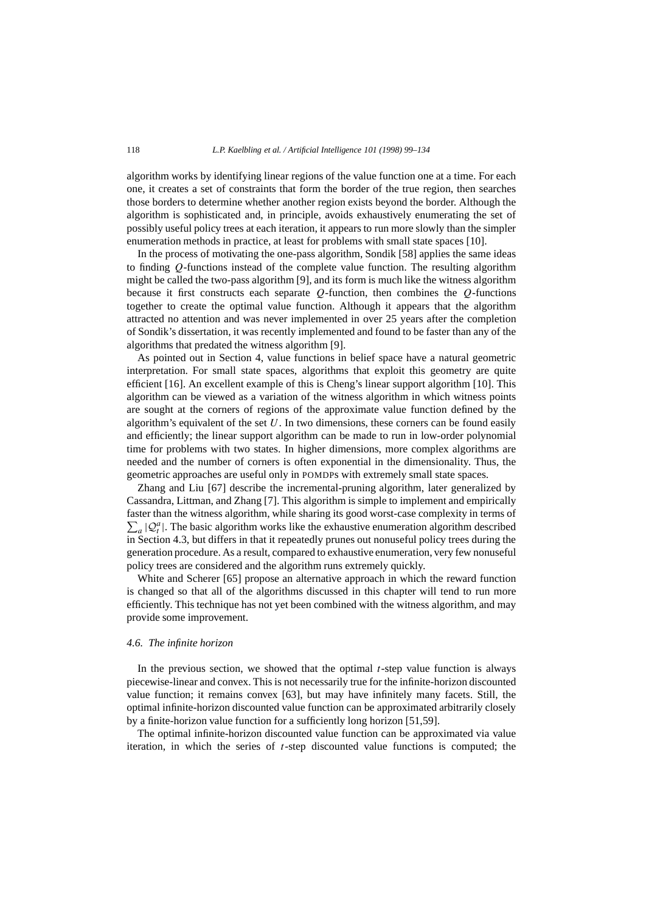algorithm works by identifying linear regions of the value function one at a time. For each one, it creates a set of constraints that form the border of the true region, then searches those borders to determine whether another region exists beyond the border. Although the algorithm is sophisticated and, in principle, avoids exhaustively enumerating the set of possibly useful policy trees at each iteration, it appears to run more slowly than the simpler enumeration methods in practice, at least for problems with small state spaces [10].

In the process of motivating the one-pass algorithm, Sondik [58] applies the same ideas to finding *Q*-functions instead of the complete value function. The resulting algorithm might be called the two-pass algorithm [9], and its form is much like the witness algorithm because it first constructs each separate *Q*-function, then combines the *Q*-functions together to create the optimal value function. Although it appears that the algorithm attracted no attention and was never implemented in over 25 years after the completion of Sondik's dissertation, it was recently implemented and found to be faster than any of the algorithms that predated the witness algorithm [9].

As pointed out in Section 4, value functions in belief space have a natural geometric interpretation. For small state spaces, algorithms that exploit this geometry are quite efficient [16]. An excellent example of this is Cheng's linear support algorithm [10]. This algorithm can be viewed as a variation of the witness algorithm in which witness points are sought at the corners of regions of the approximate value function defined by the algorithm's equivalent of the set *U*. In two dimensions, these corners can be found easily and efficiently; the linear support algorithm can be made to run in low-order polynomial time for problems with two states. In higher dimensions, more complex algorithms are needed and the number of corners is often exponential in the dimensionality. Thus, the geometric approaches are useful only in POMDPs with extremely small state spaces.

Zhang and Liu [67] describe the incremental-pruning algorithm, later generalized by Cassandra, Littman, and Zhang [7]. This algorithm is simple to implement and empirically faster than the witness algorithm, while sharing its good worst-case complexity in terms of  $\sum_a |Q^a_i|$ . The basic algorithm works like the exhaustive enumeration algorithm described in Section 4.3, but differs in that it repeatedly prunes out nonuseful policy trees during the generation procedure. As a result, compared to exhaustive enumeration, very few nonuseful policy trees are considered and the algorithm runs extremely quickly.

White and Scherer [65] propose an alternative approach in which the reward function is changed so that all of the algorithms discussed in this chapter will tend to run more efficiently. This technique has not yet been combined with the witness algorithm, and may provide some improvement.

# *4.6. The infinite horizon*

In the previous section, we showed that the optimal *t*-step value function is always piecewise-linear and convex. This is not necessarily true for the infinite-horizon discounted value function; it remains convex [63], but may have infinitely many facets. Still, the optimal infinite-horizon discounted value function can be approximated arbitrarily closely by a finite-horizon value function for a sufficiently long horizon [51,59].

The optimal infinite-horizon discounted value function can be approximated via value iteration, in which the series of *t*-step discounted value functions is computed; the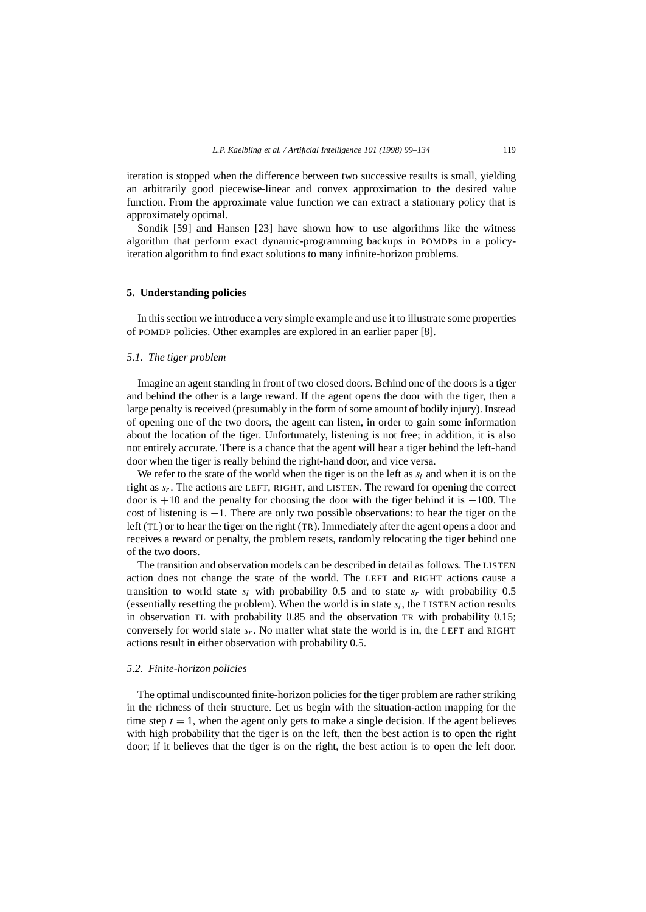iteration is stopped when the difference between two successive results is small, yielding an arbitrarily good piecewise-linear and convex approximation to the desired value function. From the approximate value function we can extract a stationary policy that is approximately optimal.

Sondik [59] and Hansen [23] have shown how to use algorithms like the witness algorithm that perform exact dynamic-programming backups in POMDPs in a policyiteration algorithm to find exact solutions to many infinite-horizon problems.

# **5. Understanding policies**

In this section we introduce a very simple example and use it to illustrate some properties of POMDP policies. Other examples are explored in an earlier paper [8].

# *5.1. The tiger problem*

Imagine an agent standing in front of two closed doors. Behind one of the doors is a tiger and behind the other is a large reward. If the agent opens the door with the tiger, then a large penalty is received (presumably in the form of some amount of bodily injury). Instead of opening one of the two doors, the agent can listen, in order to gain some information about the location of the tiger. Unfortunately, listening is not free; in addition, it is also not entirely accurate. There is a chance that the agent will hear a tiger behind the left-hand door when the tiger is really behind the right-hand door, and vice versa.

We refer to the state of the world when the tiger is on the left as  $s_l$  and when it is on the right as *sr*. The actions are LEFT, RIGHT, and LISTEN. The reward for opening the correct door is  $+10$  and the penalty for choosing the door with the tiger behind it is  $-100$ . The cost of listening is −1. There are only two possible observations: to hear the tiger on the left (TL) or to hear the tiger on the right (TR). Immediately after the agent opens a door and receives a reward or penalty, the problem resets, randomly relocating the tiger behind one of the two doors.

The transition and observation models can be described in detail as follows. The LISTEN action does not change the state of the world. The LEFT and RIGHT actions cause a transition to world state  $s_l$  with probability 0.5 and to state  $s_r$  with probability 0.5 (essentially resetting the problem). When the world is in state  $s_l$ , the LISTEN action results in observation TL with probability 0.85 and the observation TR with probability 0.15; conversely for world state *sr*. No matter what state the world is in, the LEFT and RIGHT actions result in either observation with probability 0.5.

#### *5.2. Finite-horizon policies*

The optimal undiscounted finite-horizon policies for the tiger problem are rather striking in the richness of their structure. Let us begin with the situation-action mapping for the time step  $t = 1$ , when the agent only gets to make a single decision. If the agent believes with high probability that the tiger is on the left, then the best action is to open the right door; if it believes that the tiger is on the right, the best action is to open the left door.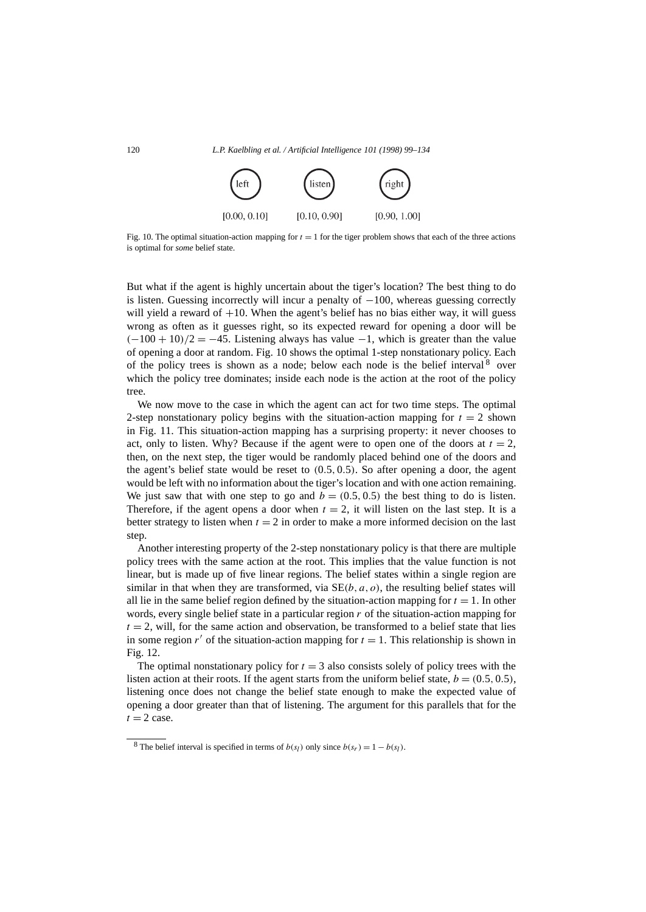

Fig. 10. The optimal situation-action mapping for  $t = 1$  for the tiger problem shows that each of the three actions is optimal for *some* belief state.

But what if the agent is highly uncertain about the tiger's location? The best thing to do is listen. Guessing incorrectly will incur a penalty of  $-100$ , whereas guessing correctly will yield a reward of  $+10$ . When the agent's belief has no bias either way, it will guess wrong as often as it guesses right, so its expected reward for opening a door will be  $(-100 + 10)/2 = -45$ . Listening always has value  $-1$ , which is greater than the value of opening a door at random. Fig. 10 shows the optimal 1-step nonstationary policy. Each of the policy trees is shown as a node; below each node is the belief interval  $8$  over which the policy tree dominates; inside each node is the action at the root of the policy tree.

We now move to the case in which the agent can act for two time steps. The optimal 2-step nonstationary policy begins with the situation-action mapping for  $t = 2$  shown in Fig. 11. This situation-action mapping has a surprising property: it never chooses to act, only to listen. Why? Because if the agent were to open one of the doors at  $t = 2$ , then, on the next step, the tiger would be randomly placed behind one of the doors and the agent's belief state would be reset to *(*0*.*5*,* 0*.*5*)*. So after opening a door, the agent would be left with no information about the tiger's location and with one action remaining. We just saw that with one step to go and  $b = (0.5, 0.5)$  the best thing to do is listen. Therefore, if the agent opens a door when  $t = 2$ , it will listen on the last step. It is a better strategy to listen when  $t = 2$  in order to make a more informed decision on the last step.

Another interesting property of the 2-step nonstationary policy is that there are multiple policy trees with the same action at the root. This implies that the value function is not linear, but is made up of five linear regions. The belief states within a single region are similar in that when they are transformed, via  $SE(b, a, o)$ , the resulting belief states will all lie in the same belief region defined by the situation-action mapping for  $t = 1$ . In other words, every single belief state in a particular region *r* of the situation-action mapping for  $t = 2$ , will, for the same action and observation, be transformed to a belief state that lies in some region  $r'$  of the situation-action mapping for  $t = 1$ . This relationship is shown in Fig. 12.

The optimal nonstationary policy for  $t = 3$  also consists solely of policy trees with the listen action at their roots. If the agent starts from the uniform belief state,  $b = (0.5, 0.5)$ , listening once does not change the belief state enough to make the expected value of opening a door greater than that of listening. The argument for this parallels that for the  $t = 2$  case.

<sup>&</sup>lt;sup>8</sup> The belief interval is specified in terms of  $b(s_l)$  only since  $b(s_r) = 1 - b(s_l)$ .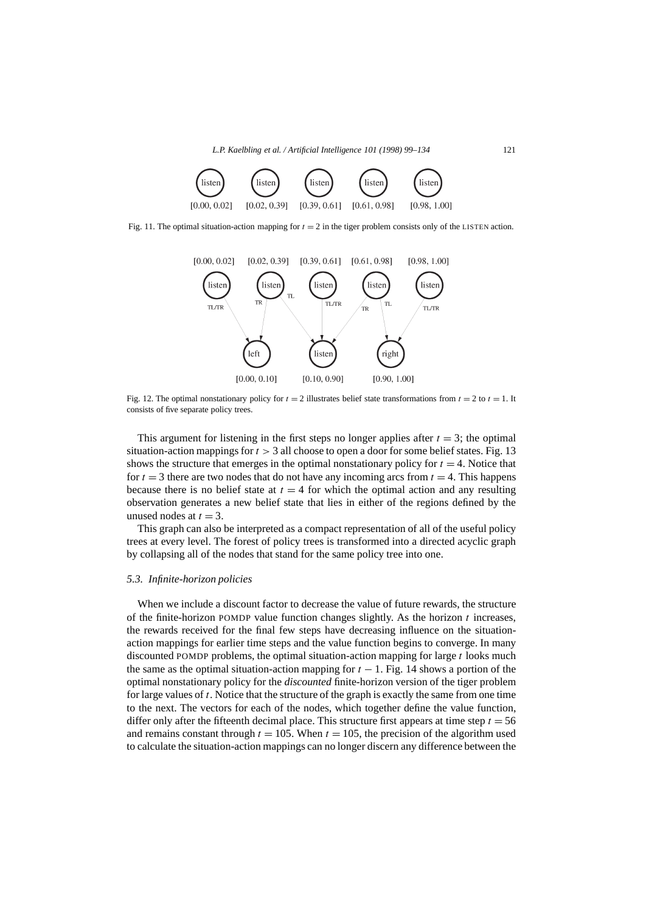

Fig. 11. The optimal situation-action mapping for  $t = 2$  in the tiger problem consists only of the LISTEN action.



Fig. 12. The optimal nonstationary policy for  $t = 2$  illustrates belief state transformations from  $t = 2$  to  $t = 1$ . It consists of five separate policy trees.

This argument for listening in the first steps no longer applies after  $t = 3$ ; the optimal situation-action mappings for  $t > 3$  all choose to open a door for some belief states. Fig. 13 shows the structure that emerges in the optimal nonstationary policy for  $t = 4$ . Notice that for  $t = 3$  there are two nodes that do not have any incoming arcs from  $t = 4$ . This happens because there is no belief state at  $t = 4$  for which the optimal action and any resulting observation generates a new belief state that lies in either of the regions defined by the unused nodes at  $t = 3$ .

This graph can also be interpreted as a compact representation of all of the useful policy trees at every level. The forest of policy trees is transformed into a directed acyclic graph by collapsing all of the nodes that stand for the same policy tree into one.

# *5.3. Infinite-horizon policies*

When we include a discount factor to decrease the value of future rewards, the structure of the finite-horizon POMDP value function changes slightly. As the horizon  $t$  increases, the rewards received for the final few steps have decreasing influence on the situationaction mappings for earlier time steps and the value function begins to converge. In many discounted POMDP problems, the optimal situation-action mapping for large *t* looks much the same as the optimal situation-action mapping for  $t - 1$ . Fig. 14 shows a portion of the optimal nonstationary policy for the *discounted* finite-horizon version of the tiger problem for large values of *t*. Notice that the structure of the graph is exactly the same from one time to the next. The vectors for each of the nodes, which together define the value function, differ only after the fifteenth decimal place. This structure first appears at time step  $t = 56$ and remains constant through  $t = 105$ . When  $t = 105$ , the precision of the algorithm used to calculate the situation-action mappings can no longer discern any difference between the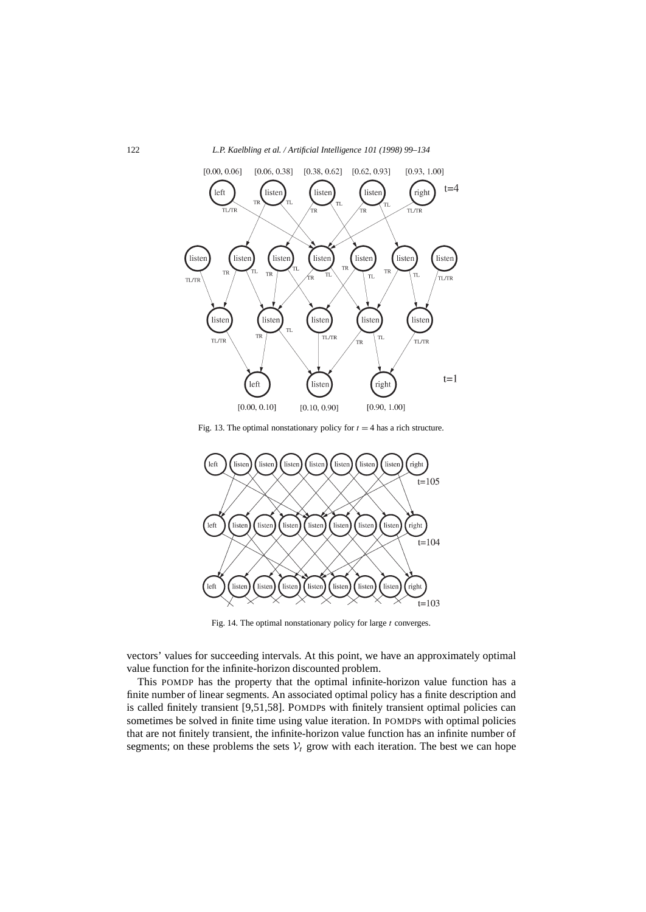

Fig. 13. The optimal nonstationary policy for  $t = 4$  has a rich structure.



Fig. 14. The optimal nonstationary policy for large *t* converges.

vectors' values for succeeding intervals. At this point, we have an approximately optimal value function for the infinite-horizon discounted problem.

This POMDP has the property that the optimal infinite-horizon value function has a finite number of linear segments. An associated optimal policy has a finite description and is called finitely transient [9,51,58]. POMDPs with finitely transient optimal policies can sometimes be solved in finite time using value iteration. In POMDPs with optimal policies that are not finitely transient, the infinite-horizon value function has an infinite number of segments; on these problems the sets  $V_t$  grow with each iteration. The best we can hope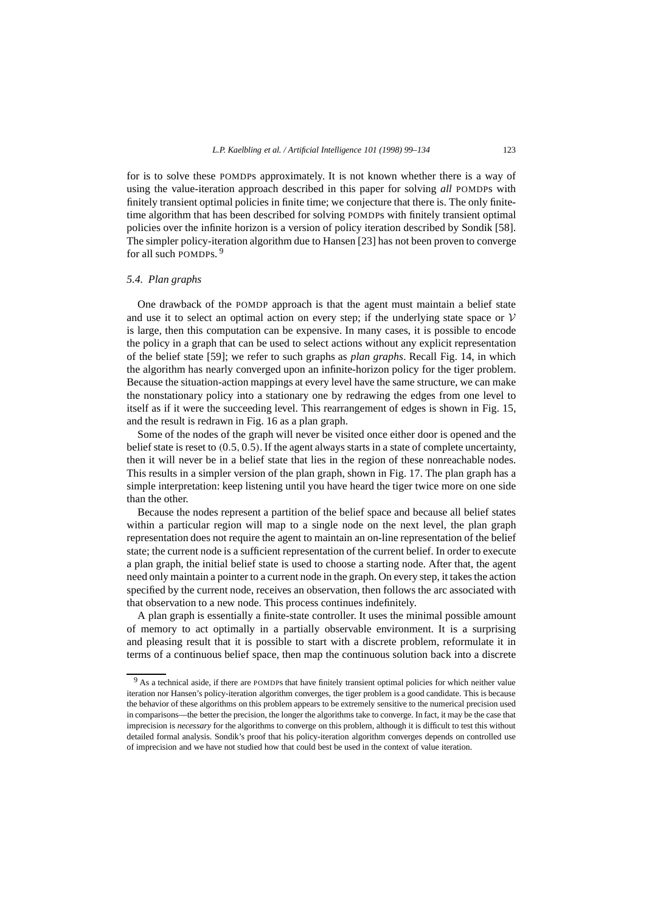for is to solve these POMDPs approximately. It is not known whether there is a way of using the value-iteration approach described in this paper for solving *all* POMDPs with finitely transient optimal policies in finite time; we conjecture that there is. The only finitetime algorithm that has been described for solving POMDPs with finitely transient optimal policies over the infinite horizon is a version of policy iteration described by Sondik [58]. The simpler policy-iteration algorithm due to Hansen [23] has not been proven to converge for all such POMDPs. <sup>9</sup>

# *5.4. Plan graphs*

One drawback of the POMDP approach is that the agent must maintain a belief state and use it to select an optimal action on every step; if the underlying state space or  $\mathcal V$ is large, then this computation can be expensive. In many cases, it is possible to encode the policy in a graph that can be used to select actions without any explicit representation of the belief state [59]; we refer to such graphs as *plan graphs*. Recall Fig. 14, in which the algorithm has nearly converged upon an infinite-horizon policy for the tiger problem. Because the situation-action mappings at every level have the same structure, we can make the nonstationary policy into a stationary one by redrawing the edges from one level to itself as if it were the succeeding level. This rearrangement of edges is shown in Fig. 15, and the result is redrawn in Fig. 16 as a plan graph.

Some of the nodes of the graph will never be visited once either door is opened and the belief state is reset to *(*0*.*5*,* 0*.*5*)*. If the agent always starts in a state of complete uncertainty, then it will never be in a belief state that lies in the region of these nonreachable nodes. This results in a simpler version of the plan graph, shown in Fig. 17. The plan graph has a simple interpretation: keep listening until you have heard the tiger twice more on one side than the other.

Because the nodes represent a partition of the belief space and because all belief states within a particular region will map to a single node on the next level, the plan graph representation does not require the agent to maintain an on-line representation of the belief state; the current node is a sufficient representation of the current belief. In order to execute a plan graph, the initial belief state is used to choose a starting node. After that, the agent need only maintain a pointer to a current node in the graph. On every step, it takes the action specified by the current node, receives an observation, then follows the arc associated with that observation to a new node. This process continues indefinitely.

A plan graph is essentially a finite-state controller. It uses the minimal possible amount of memory to act optimally in a partially observable environment. It is a surprising and pleasing result that it is possible to start with a discrete problem, reformulate it in terms of a continuous belief space, then map the continuous solution back into a discrete

<sup>&</sup>lt;sup>9</sup> As a technical aside, if there are POMDPs that have finitely transient optimal policies for which neither value iteration nor Hansen's policy-iteration algorithm converges, the tiger problem is a good candidate. This is because the behavior of these algorithms on this problem appears to be extremely sensitive to the numerical precision used in comparisons—the better the precision, the longer the algorithms take to converge. In fact, it may be the case that imprecision is *necessary* for the algorithms to converge on this problem, although it is difficult to test this without detailed formal analysis. Sondik's proof that his policy-iteration algorithm converges depends on controlled use of imprecision and we have not studied how that could best be used in the context of value iteration.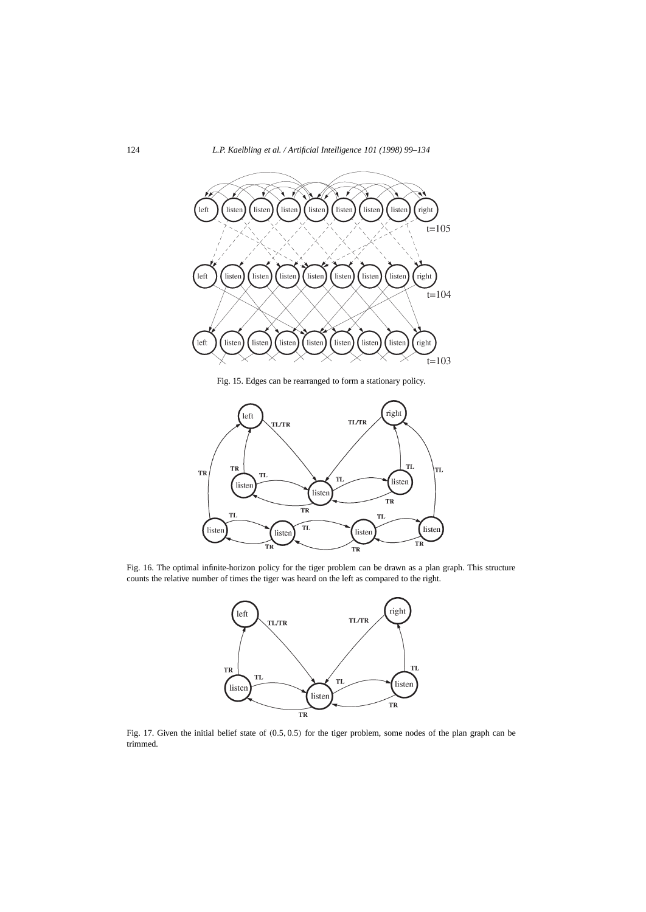

Fig. 15. Edges can be rearranged to form a stationary policy.



Fig. 16. The optimal infinite-horizon policy for the tiger problem can be drawn as a plan graph. This structure counts the relative number of times the tiger was heard on the left as compared to the right.



Fig. 17. Given the initial belief state of *(*0*.*5*,* 0*.*5*)* for the tiger problem, some nodes of the plan graph can be trimmed.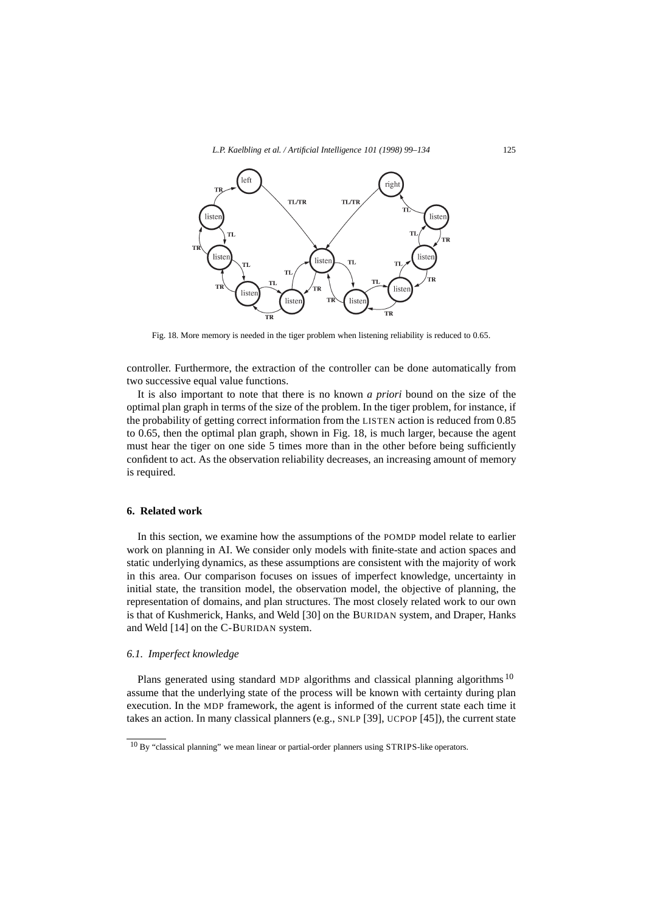*L.P. Kaelbling et al. / Artificial Intelligence 101 (1998) 99–134* 125



Fig. 18. More memory is needed in the tiger problem when listening reliability is reduced to 0*.*65.

controller. Furthermore, the extraction of the controller can be done automatically from two successive equal value functions.

It is also important to note that there is no known *a priori* bound on the size of the optimal plan graph in terms of the size of the problem. In the tiger problem, for instance, if the probability of getting correct information from the LISTEN action is reduced from 0.85 to 0.65, then the optimal plan graph, shown in Fig. 18, is much larger, because the agent must hear the tiger on one side 5 times more than in the other before being sufficiently confident to act. As the observation reliability decreases, an increasing amount of memory is required.

# **6. Related work**

In this section, we examine how the assumptions of the POMDP model relate to earlier work on planning in AI. We consider only models with finite-state and action spaces and static underlying dynamics, as these assumptions are consistent with the majority of work in this area. Our comparison focuses on issues of imperfect knowledge, uncertainty in initial state, the transition model, the observation model, the objective of planning, the representation of domains, and plan structures. The most closely related work to our own is that of Kushmerick, Hanks, and Weld [30] on the BURIDAN system, and Draper, Hanks and Weld [14] on the C-BURIDAN system.

# *6.1. Imperfect knowledge*

Plans generated using standard MDP algorithms and classical planning algorithms <sup>10</sup> assume that the underlying state of the process will be known with certainty during plan execution. In the MDP framework, the agent is informed of the current state each time it takes an action. In many classical planners (e.g., SNLP [39], UCPOP [45]), the current state

<sup>10</sup> By "classical planning" we mean linear or partial-order planners using STRIPS-like operators.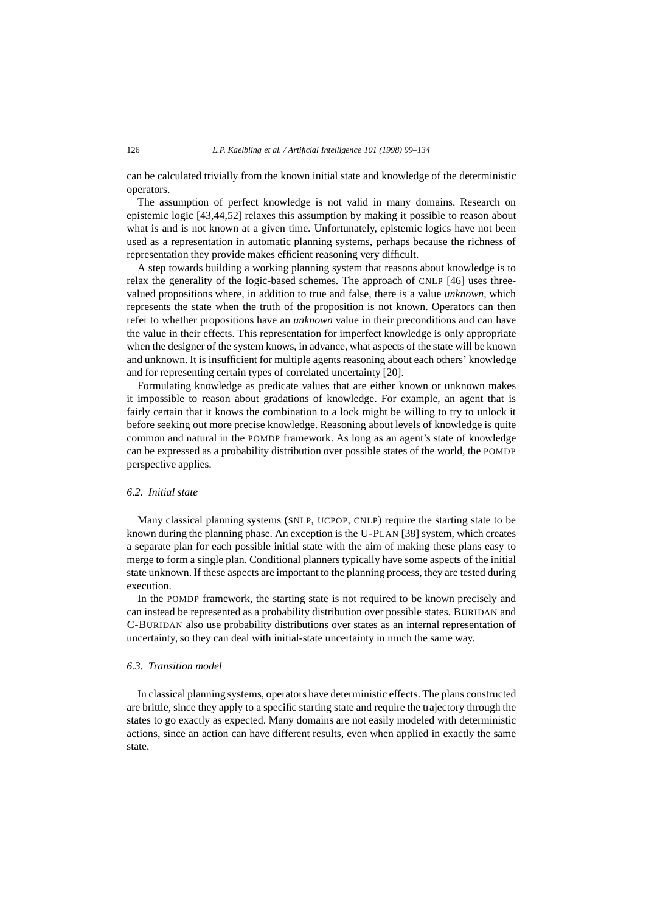can be calculated trivially from the known initial state and knowledge of the deterministic operators.

The assumption of perfect knowledge is not valid in many domains. Research on epistemic logic [43,44,52] relaxes this assumption by making it possible to reason about what is and is not known at a given time. Unfortunately, epistemic logics have not been used as a representation in automatic planning systems, perhaps because the richness of representation they provide makes efficient reasoning very difficult.

A step towards building a working planning system that reasons about knowledge is to relax the generality of the logic-based schemes. The approach of CNLP [46] uses threevalued propositions where, in addition to true and false, there is a value *unknown*, which represents the state when the truth of the proposition is not known. Operators can then refer to whether propositions have an *unknown* value in their preconditions and can have the value in their effects. This representation for imperfect knowledge is only appropriate when the designer of the system knows, in advance, what aspects of the state will be known and unknown. It is insufficient for multiple agents reasoning about each others' knowledge and for representing certain types of correlated uncertainty [20].

Formulating knowledge as predicate values that are either known or unknown makes it impossible to reason about gradations of knowledge. For example, an agent that is fairly certain that it knows the combination to a lock might be willing to try to unlock it before seeking out more precise knowledge. Reasoning about levels of knowledge is quite common and natural in the POMDP framework. As long as an agent's state of knowledge can be expressed as a probability distribution over possible states of the world, the POMDP perspective applies.

## *6.2. Initial state*

Many classical planning systems (SNLP, UCPOP, CNLP) require the starting state to be known during the planning phase. An exception is the U-PLAN [38] system, which creates a separate plan for each possible initial state with the aim of making these plans easy to merge to form a single plan. Conditional planners typically have some aspects of the initial state unknown. If these aspects are important to the planning process, they are tested during execution.

In the POMDP framework, the starting state is not required to be known precisely and can instead be represented as a probability distribution over possible states. BURIDAN and C-BURIDAN also use probability distributions over states as an internal representation of uncertainty, so they can deal with initial-state uncertainty in much the same way.

# *6.3. Transition model*

In classical planning systems, operators have deterministic effects. The plans constructed are brittle, since they apply to a specific starting state and require the trajectory through the states to go exactly as expected. Many domains are not easily modeled with deterministic actions, since an action can have different results, even when applied in exactly the same state.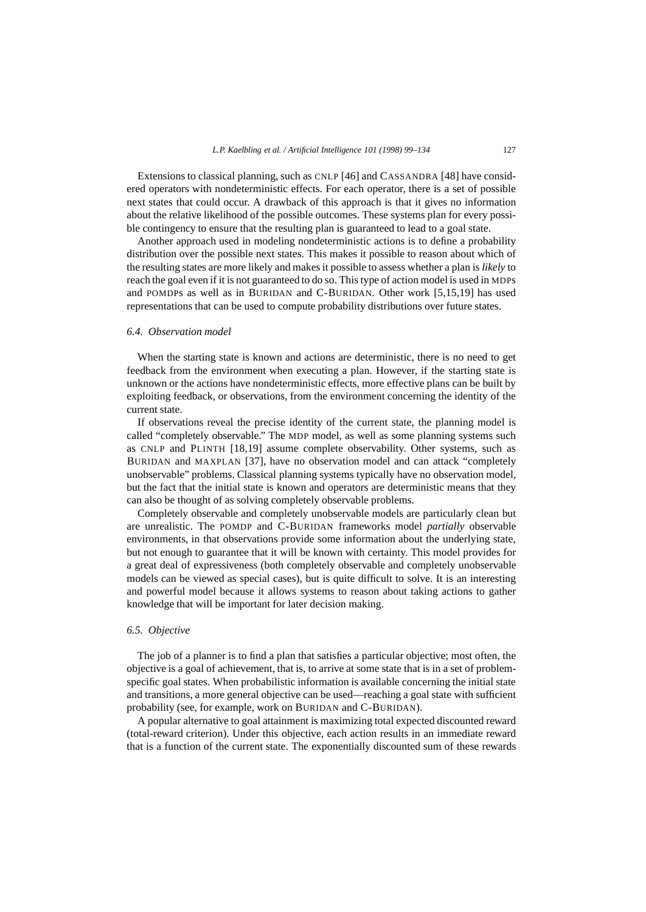Extensions to classical planning, such as CNLP [46] and CASSANDRA [48] have considered operators with nondeterministic effects. For each operator, there is a set of possible next states that could occur. A drawback of this approach is that it gives no information about the relative likelihood of the possible outcomes. These systems plan for every possible contingency to ensure that the resulting plan is guaranteed to lead to a goal state.

Another approach used in modeling nondeterministic actions is to define a probability distribution over the possible next states. This makes it possible to reason about which of the resulting states are more likely and makes it possible to assess whether a plan is *likely* to reach the goal even if it is not guaranteed to do so. This type of action model is used in MDPs and POMDPs as well as in BURIDAN and C-BURIDAN. Other work [5,15,19] has used representations that can be used to compute probability distributions over future states.

# *6.4. Observation model*

When the starting state is known and actions are deterministic, there is no need to get feedback from the environment when executing a plan. However, if the starting state is unknown or the actions have nondeterministic effects, more effective plans can be built by exploiting feedback, or observations, from the environment concerning the identity of the current state.

If observations reveal the precise identity of the current state, the planning model is called "completely observable." The MDP model, as well as some planning systems such as CNLP and PLINTH [18,19] assume complete observability. Other systems, such as BURIDAN and MAXPLAN [37], have no observation model and can attack "completely unobservable" problems. Classical planning systems typically have no observation model, but the fact that the initial state is known and operators are deterministic means that they can also be thought of as solving completely observable problems.

Completely observable and completely unobservable models are particularly clean but are unrealistic. The POMDP and C-BURIDAN frameworks model *partially* observable environments, in that observations provide some information about the underlying state, but not enough to guarantee that it will be known with certainty. This model provides for a great deal of expressiveness (both completely observable and completely unobservable models can be viewed as special cases), but is quite difficult to solve. It is an interesting and powerful model because it allows systems to reason about taking actions to gather knowledge that will be important for later decision making.

### *6.5. Objective*

The job of a planner is to find a plan that satisfies a particular objective; most often, the objective is a goal of achievement, that is, to arrive at some state that is in a set of problemspecific goal states. When probabilistic information is available concerning the initial state and transitions, a more general objective can be used—reaching a goal state with sufficient probability (see, for example, work on BURIDAN and C-BURIDAN).

A popular alternative to goal attainment is maximizing total expected discounted reward (total-reward criterion). Under this objective, each action results in an immediate reward that is a function of the current state. The exponentially discounted sum of these rewards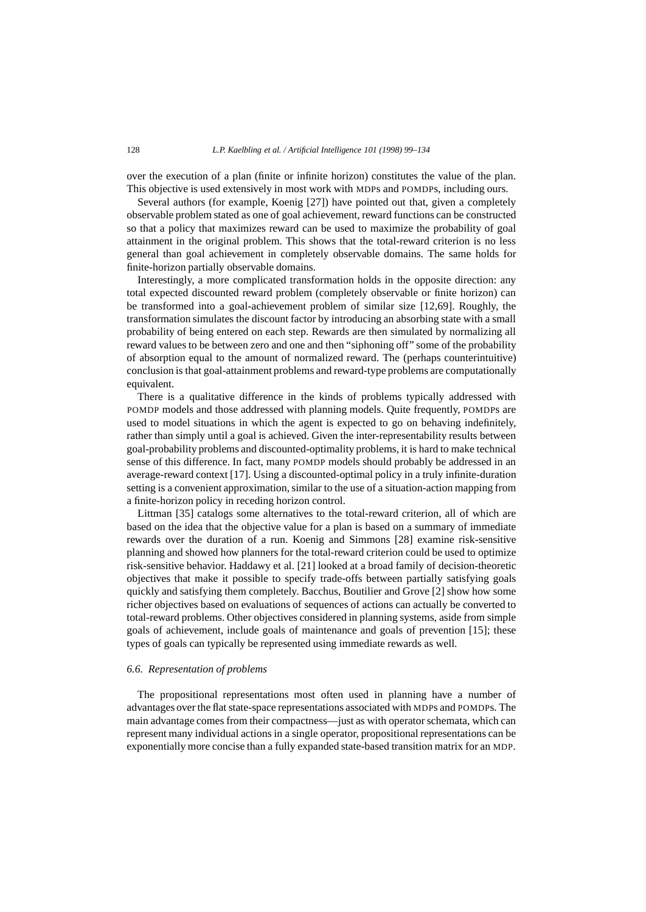over the execution of a plan (finite or infinite horizon) constitutes the value of the plan. This objective is used extensively in most work with MDPs and POMDPs, including ours.

Several authors (for example, Koenig [27]) have pointed out that, given a completely observable problem stated as one of goal achievement, reward functions can be constructed so that a policy that maximizes reward can be used to maximize the probability of goal attainment in the original problem. This shows that the total-reward criterion is no less general than goal achievement in completely observable domains. The same holds for finite-horizon partially observable domains.

Interestingly, a more complicated transformation holds in the opposite direction: any total expected discounted reward problem (completely observable or finite horizon) can be transformed into a goal-achievement problem of similar size [12,69]. Roughly, the transformation simulates the discount factor by introducing an absorbing state with a small probability of being entered on each step. Rewards are then simulated by normalizing all reward values to be between zero and one and then "siphoning off" some of the probability of absorption equal to the amount of normalized reward. The (perhaps counterintuitive) conclusion is that goal-attainment problems and reward-type problems are computationally equivalent.

There is a qualitative difference in the kinds of problems typically addressed with POMDP models and those addressed with planning models. Quite frequently, POMDPs are used to model situations in which the agent is expected to go on behaving indefinitely, rather than simply until a goal is achieved. Given the inter-representability results between goal-probability problems and discounted-optimality problems, it is hard to make technical sense of this difference. In fact, many POMDP models should probably be addressed in an average-reward context [17]. Using a discounted-optimal policy in a truly infinite-duration setting is a convenient approximation, similar to the use of a situation-action mapping from a finite-horizon policy in receding horizon control.

Littman [35] catalogs some alternatives to the total-reward criterion, all of which are based on the idea that the objective value for a plan is based on a summary of immediate rewards over the duration of a run. Koenig and Simmons [28] examine risk-sensitive planning and showed how planners for the total-reward criterion could be used to optimize risk-sensitive behavior. Haddawy et al. [21] looked at a broad family of decision-theoretic objectives that make it possible to specify trade-offs between partially satisfying goals quickly and satisfying them completely. Bacchus, Boutilier and Grove [2] show how some richer objectives based on evaluations of sequences of actions can actually be converted to total-reward problems. Other objectives considered in planning systems, aside from simple goals of achievement, include goals of maintenance and goals of prevention [15]; these types of goals can typically be represented using immediate rewards as well.

# *6.6. Representation of problems*

The propositional representations most often used in planning have a number of advantages over the flat state-space representations associated with MDPs and POMDPs. The main advantage comes from their compactness—just as with operator schemata, which can represent many individual actions in a single operator, propositional representations can be exponentially more concise than a fully expanded state-based transition matrix for an MDP.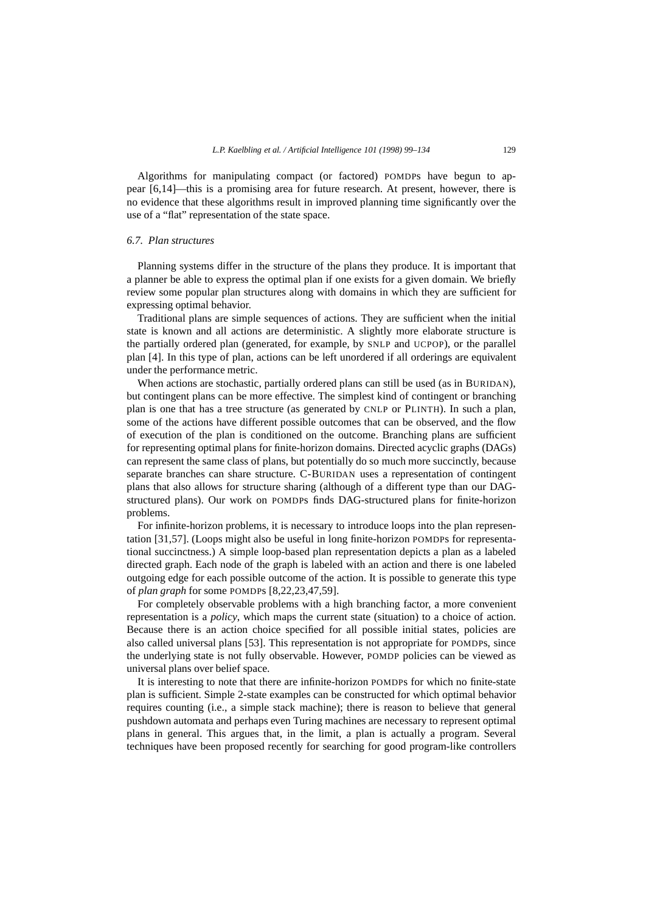Algorithms for manipulating compact (or factored) POMDPs have begun to appear [6,14]—this is a promising area for future research. At present, however, there is no evidence that these algorithms result in improved planning time significantly over the use of a "flat" representation of the state space.

# *6.7. Plan structures*

Planning systems differ in the structure of the plans they produce. It is important that a planner be able to express the optimal plan if one exists for a given domain. We briefly review some popular plan structures along with domains in which they are sufficient for expressing optimal behavior.

Traditional plans are simple sequences of actions. They are sufficient when the initial state is known and all actions are deterministic. A slightly more elaborate structure is the partially ordered plan (generated, for example, by SNLP and UCPOP), or the parallel plan [4]. In this type of plan, actions can be left unordered if all orderings are equivalent under the performance metric.

When actions are stochastic, partially ordered plans can still be used (as in BURIDAN), but contingent plans can be more effective. The simplest kind of contingent or branching plan is one that has a tree structure (as generated by CNLP or PLINTH). In such a plan, some of the actions have different possible outcomes that can be observed, and the flow of execution of the plan is conditioned on the outcome. Branching plans are sufficient for representing optimal plans for finite-horizon domains. Directed acyclic graphs (DAGs) can represent the same class of plans, but potentially do so much more succinctly, because separate branches can share structure. C-BURIDAN uses a representation of contingent plans that also allows for structure sharing (although of a different type than our DAGstructured plans). Our work on POMDPs finds DAG-structured plans for finite-horizon problems.

For infinite-horizon problems, it is necessary to introduce loops into the plan representation [31,57]. (Loops might also be useful in long finite-horizon POMDPs for representational succinctness.) A simple loop-based plan representation depicts a plan as a labeled directed graph. Each node of the graph is labeled with an action and there is one labeled outgoing edge for each possible outcome of the action. It is possible to generate this type of *plan graph* for some POMDPs [8,22,23,47,59].

For completely observable problems with a high branching factor, a more convenient representation is a *policy*, which maps the current state (situation) to a choice of action. Because there is an action choice specified for all possible initial states, policies are also called universal plans [53]. This representation is not appropriate for POMDPs, since the underlying state is not fully observable. However, POMDP policies can be viewed as universal plans over belief space.

It is interesting to note that there are infinite-horizon POMDPs for which no finite-state plan is sufficient. Simple 2-state examples can be constructed for which optimal behavior requires counting (i.e., a simple stack machine); there is reason to believe that general pushdown automata and perhaps even Turing machines are necessary to represent optimal plans in general. This argues that, in the limit, a plan is actually a program. Several techniques have been proposed recently for searching for good program-like controllers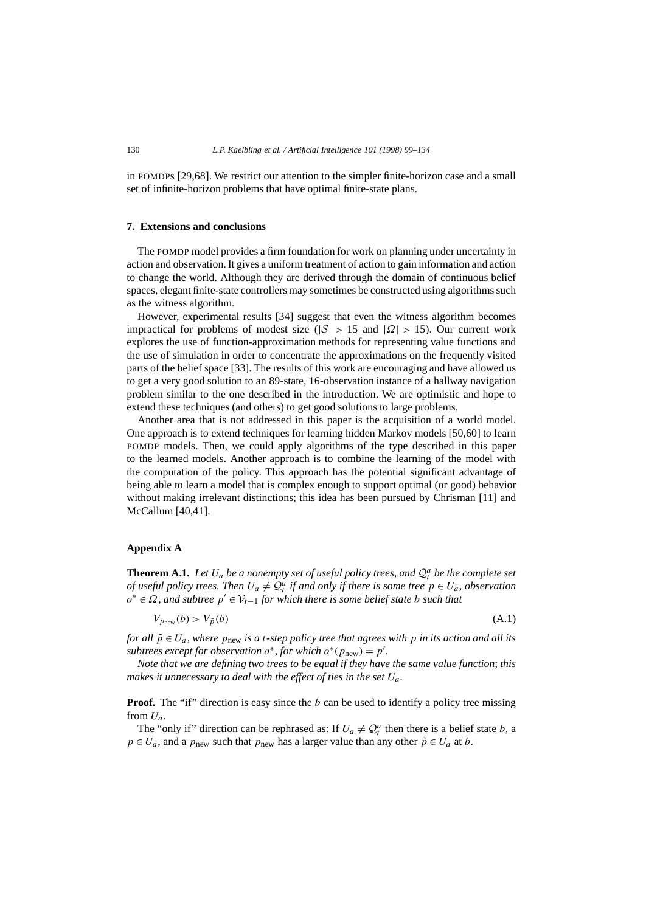in POMDPs [29,68]. We restrict our attention to the simpler finite-horizon case and a small set of infinite-horizon problems that have optimal finite-state plans.

# **7. Extensions and conclusions**

The POMDP model provides a firm foundation for work on planning under uncertainty in action and observation. It gives a uniform treatment of action to gain information and action to change the world. Although they are derived through the domain of continuous belief spaces, elegant finite-state controllers may sometimes be constructed using algorithms such as the witness algorithm.

However, experimental results [34] suggest that even the witness algorithm becomes impractical for problems of modest size ( $|S| > 15$  and  $|Q| > 15$ ). Our current work explores the use of function-approximation methods for representing value functions and the use of simulation in order to concentrate the approximations on the frequently visited parts of the belief space [33]. The results of this work are encouraging and have allowed us to get a very good solution to an 89-state, 16-observation instance of a hallway navigation problem similar to the one described in the introduction. We are optimistic and hope to extend these techniques (and others) to get good solutions to large problems.

Another area that is not addressed in this paper is the acquisition of a world model. One approach is to extend techniques for learning hidden Markov models [50,60] to learn POMDP models. Then, we could apply algorithms of the type described in this paper to the learned models. Another approach is to combine the learning of the model with the computation of the policy. This approach has the potential significant advantage of being able to learn a model that is complex enough to support optimal (or good) behavior without making irrelevant distinctions; this idea has been pursued by Chrisman [11] and McCallum [40,41].

#### **Appendix A**

**Theorem A.1.** Let  $U_a$  be a nonempty set of useful policy trees, and  $Q_i^a$  be the complete set *of useful policy trees. Then*  $U_a \neq Q_i^a$  *if and only if there is some tree*  $p \in U_a$ *, observation*  $o<sup>*</sup> ∈ Ω$ *, and subtree*  $p' ∈ V<sub>t−1</sub>$  *for which there is some belief state b such that* 

$$
V_{p_{\text{new}}}(b) > V_{\tilde{p}}(b) \tag{A.1}
$$

*for all*  $\tilde{p} \in U_a$ , where  $p_{\text{new}}$  *is a t-step policy tree that agrees with p in its action and all its subtrees except for observation*  $o^*$ *, for which*  $o^*(p_{\text{new}}) = p'$ *.* 

*Note that we are defining two trees to be equal if they have the same value function*; *this makes it unnecessary to deal with the effect of ties in the set Ua.*

**Proof.** The "if" direction is easy since the *b* can be used to identify a policy tree missing from  $U_a$ .

The "only if" direction can be rephrased as: If  $U_a \neq Q_t^a$  then there is a belief state *b*, a  $p \in U_a$ , and a  $p_{\text{new}}$  such that  $p_{\text{new}}$  has a larger value than any other  $\tilde{p} \in U_a$  at *b*.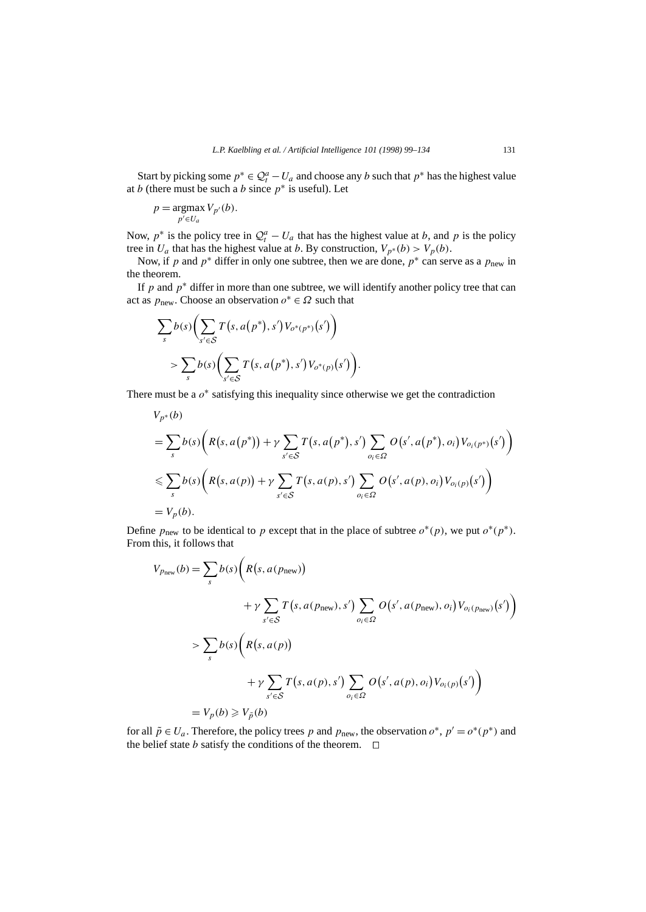Start by picking some  $p^* \in Q_t^a - U_a$  and choose any *b* such that  $p^*$  has the highest value at *b* (there must be such a *b* since  $p^*$  is useful). Let

$$
p = \underset{p' \in U_a}{\operatorname{argmax}} V_{p'}(b).
$$

Now,  $p^*$  is the policy tree in  $Q_t^a - U_a$  that has the highest value at *b*, and *p* is the policy tree in *U<sub>a</sub>* that has the highest value at *b*. By construction,  $V_{p^*}(b) > V_p(b)$ .

Now, if *p* and *p*<sup>∗</sup> differ in only one subtree, then we are done, *p*<sup>∗</sup> can serve as a *p*new in the theorem.

If  $p$  and  $p^*$  differ in more than one subtree, we will identify another policy tree that can act as  $p_{\text{new}}$ . Choose an observation  $o^* \in \Omega$  such that

$$
\sum_{s} b(s) \bigg( \sum_{s' \in \mathcal{S}} T(s, a(p^*), s') V_{o^*(p^*)}(s') \bigg) > \sum_{s} b(s) \bigg( \sum_{s' \in \mathcal{S}} T(s, a(p^*), s') V_{o^*(p)}(s') \bigg).
$$

There must be a *o*<sup>∗</sup> satisfying this inequality since otherwise we get the contradiction

$$
V_{p^*}(b)
$$
  
=  $\sum_{s} b(s) \Big( R(s, a(p^*)) + \gamma \sum_{s' \in S} T(s, a(p^*), s') \sum_{o_i \in \Omega} O(s', a(p^*), o_i) V_{o_i(p^*)}(s') \Big)$   

$$
\leq \sum_{s} b(s) \Big( R(s, a(p)) + \gamma \sum_{s' \in S} T(s, a(p), s') \sum_{o_i \in \Omega} O(s', a(p), o_i) V_{o_i(p)}(s') \Big)
$$
  
=  $V_p(b).$ 

Define  $p_{\text{new}}$  to be identical to  $p$  except that in the place of subtree  $o^*(p)$ , we put  $o^*(p^*)$ . From this, it follows that

$$
V_{p_{\text{new}}}(b) = \sum_{s} b(s) \bigg( R(s, a(p_{\text{new}}))
$$
  
+  $\gamma \sum_{s' \in S} T(s, a(p_{\text{new}}), s') \sum_{o_i \in \Omega} O(s', a(p_{\text{new}}), o_i) V_{o_i(p_{\text{new}})}(s') \bigg)$   
> 
$$
\sum_{s} b(s) \bigg( R(s, a(p))
$$
  
+  $\gamma \sum_{s' \in S} T(s, a(p), s') \sum_{o_i \in \Omega} O(s', a(p), o_i) V_{o_i(p)}(s') \bigg)$   
=  $V_p(b) \ge V_{\tilde{p}}(b)$ 

for all  $\tilde{p} \in U_a$ . Therefore, the policy trees *p* and *p*<sub>new</sub>, the observation  $o^*$ ,  $p' = o^*(p^*)$  and the belief state *b* satisfy the conditions of the theorem.  $\square$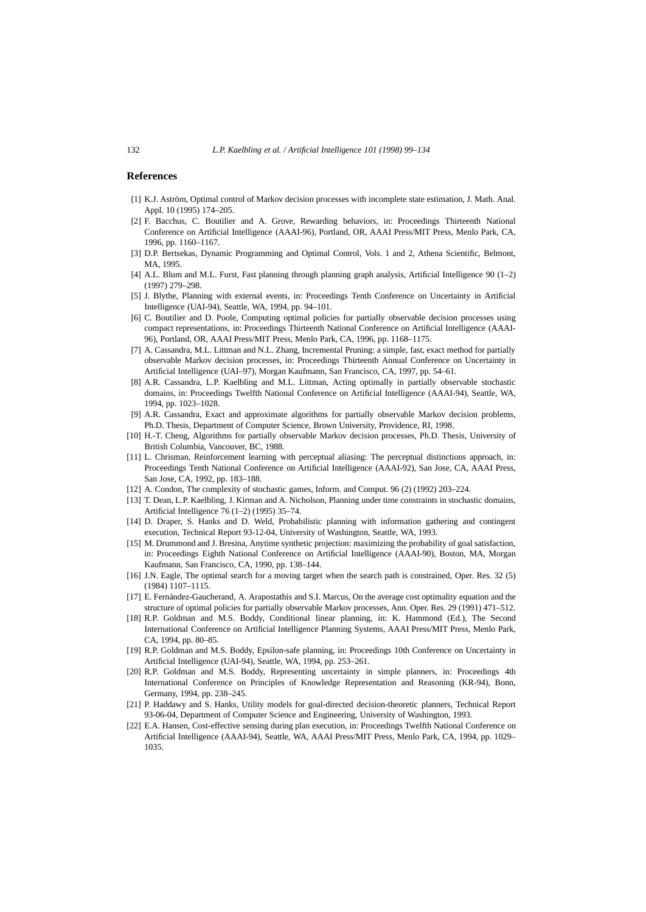# **References**

- [1] K.J. Aström, Optimal control of Markov decision processes with incomplete state estimation, J. Math. Anal. Appl. 10 (1995) 174–205.
- [2] F. Bacchus, C. Boutilier and A. Grove, Rewarding behaviors, in: Proceedings Thirteenth National Conference on Artificial Intelligence (AAAI-96), Portland, OR, AAAI Press/MIT Press, Menlo Park, CA, 1996, pp. 1160–1167.
- [3] D.P. Bertsekas, Dynamic Programming and Optimal Control, Vols. 1 and 2, Athena Scientific, Belmont, MA, 1995.
- [4] A.L. Blum and M.L. Furst, Fast planning through planning graph analysis, Artificial Intelligence 90 (1–2) (1997) 279–298.
- [5] J. Blythe, Planning with external events, in: Proceedings Tenth Conference on Uncertainty in Artificial Intelligence (UAI-94), Seattle, WA, 1994, pp. 94–101.
- [6] C. Boutilier and D. Poole, Computing optimal policies for partially observable decision processes using compact representations, in: Proceedings Thirteenth National Conference on Artificial Intelligence (AAAI-96), Portland, OR, AAAI Press/MIT Press, Menlo Park, CA, 1996, pp. 1168–1175.
- [7] A. Cassandra, M.L. Littman and N.L. Zhang, Incremental Pruning: a simple, fast, exact method for partially observable Markov decision processes, in: Proceedings Thirteenth Annual Conference on Uncertainty in Artificial Intelligence (UAI–97), Morgan Kaufmann, San Francisco, CA, 1997, pp. 54–61.
- [8] A.R. Cassandra, L.P. Kaelbling and M.L. Littman, Acting optimally in partially observable stochastic domains, in: Proceedings Twelfth National Conference on Artificial Intelligence (AAAI-94), Seattle, WA, 1994, pp. 1023–1028.
- [9] A.R. Cassandra, Exact and approximate algorithms for partially observable Markov decision problems, Ph.D. Thesis, Department of Computer Science, Brown University, Providence, RI, 1998.
- [10] H.-T. Cheng, Algorithms for partially observable Markov decision processes, Ph.D. Thesis, University of British Columbia, Vancouver, BC, 1988.
- [11] L. Chrisman, Reinforcement learning with perceptual aliasing: The perceptual distinctions approach, in: Proceedings Tenth National Conference on Artificial Intelligence (AAAI-92), San Jose, CA, AAAI Press, San Jose, CA, 1992, pp. 183–188.
- [12] A. Condon, The complexity of stochastic games, Inform. and Comput. 96 (2) (1992) 203–224.
- [13] T. Dean, L.P. Kaelbling, J. Kirman and A. Nicholson, Planning under time constraints in stochastic domains, Artificial Intelligence 76 (1–2) (1995) 35–74.
- [14] D. Draper, S. Hanks and D. Weld, Probabilistic planning with information gathering and contingent execution, Technical Report 93-12-04, University of Washington, Seattle, WA, 1993.
- [15] M. Drummond and J. Bresina, Anytime synthetic projection: maximizing the probability of goal satisfaction, in: Proceedings Eighth National Conference on Artificial Intelligence (AAAI-90), Boston, MA, Morgan Kaufmann, San Francisco, CA, 1990, pp. 138–144.
- [16] J.N. Eagle, The optimal search for a moving target when the search path is constrained, Oper. Res. 32 (5) (1984) 1107–1115.
- [17] E. Fernández-Gaucherand, A. Arapostathis and S.I. Marcus, On the average cost optimality equation and the structure of optimal policies for partially observable Markov processes, Ann. Oper. Res. 29 (1991) 471–512.
- [18] R.P. Goldman and M.S. Boddy, Conditional linear planning, in: K. Hammond (Ed.), The Second International Conference on Artificial Intelligence Planning Systems, AAAI Press/MIT Press, Menlo Park, CA, 1994, pp. 80–85.
- [19] R.P. Goldman and M.S. Boddy, Epsilon-safe planning, in: Proceedings 10th Conference on Uncertainty in Artificial Intelligence (UAI-94), Seattle, WA, 1994, pp. 253–261.
- [20] R.P. Goldman and M.S. Boddy, Representing uncertainty in simple planners, in: Proceedings 4th International Conference on Principles of Knowledge Representation and Reasoning (KR-94), Bonn, Germany, 1994, pp. 238–245.
- [21] P. Haddawy and S. Hanks, Utility models for goal-directed decision-theoretic planners, Technical Report 93-06-04, Department of Computer Science and Engineering, University of Washington, 1993.
- [22] E.A. Hansen, Cost-effective sensing during plan execution, in: Proceedings Twelfth National Conference on Artificial Intelligence (AAAI-94), Seattle, WA, AAAI Press/MIT Press, Menlo Park, CA, 1994, pp. 1029– 1035.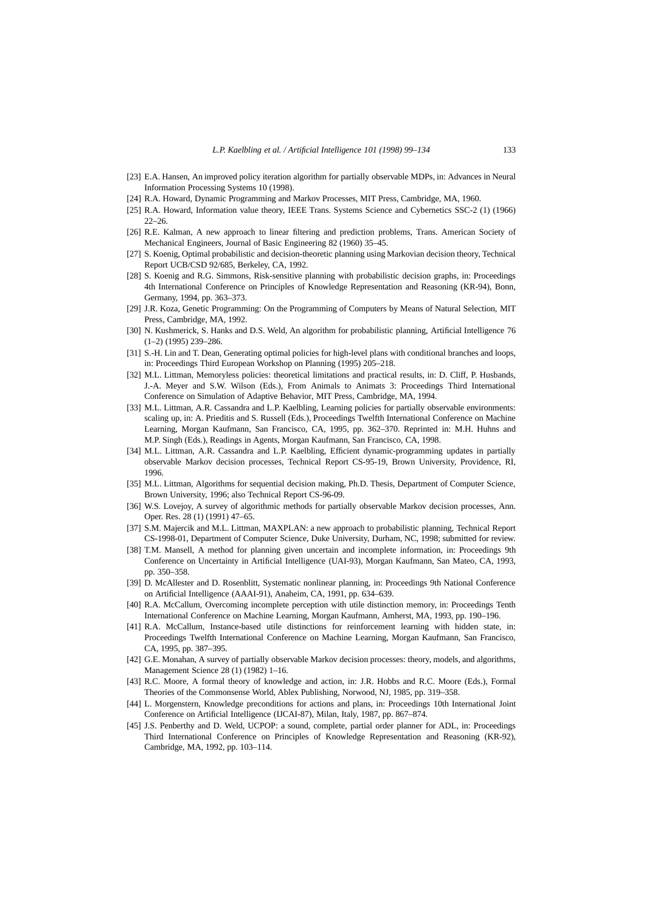- [23] E.A. Hansen, An improved policy iteration algorithm for partially observable MDPs, in: Advances in Neural Information Processing Systems 10 (1998).
- [24] R.A. Howard, Dynamic Programming and Markov Processes, MIT Press, Cambridge, MA, 1960.
- [25] R.A. Howard, Information value theory, IEEE Trans. Systems Science and Cybernetics SSC-2 (1) (1966) 22–26.
- [26] R.E. Kalman, A new approach to linear filtering and prediction problems, Trans. American Society of Mechanical Engineers, Journal of Basic Engineering 82 (1960) 35–45.
- [27] S. Koenig, Optimal probabilistic and decision-theoretic planning using Markovian decision theory, Technical Report UCB/CSD 92/685, Berkeley, CA, 1992.
- [28] S. Koenig and R.G. Simmons, Risk-sensitive planning with probabilistic decision graphs, in: Proceedings 4th International Conference on Principles of Knowledge Representation and Reasoning (KR-94), Bonn, Germany, 1994, pp. 363–373.
- [29] J.R. Koza, Genetic Programming: On the Programming of Computers by Means of Natural Selection, MIT Press, Cambridge, MA, 1992.
- [30] N. Kushmerick, S. Hanks and D.S. Weld, An algorithm for probabilistic planning, Artificial Intelligence 76 (1–2) (1995) 239–286.
- [31] S.-H. Lin and T. Dean, Generating optimal policies for high-level plans with conditional branches and loops, in: Proceedings Third European Workshop on Planning (1995) 205–218.
- [32] M.L. Littman, Memoryless policies: theoretical limitations and practical results, in: D. Cliff, P. Husbands, J.-A. Meyer and S.W. Wilson (Eds.), From Animals to Animats 3: Proceedings Third International Conference on Simulation of Adaptive Behavior, MIT Press, Cambridge, MA, 1994.
- [33] M.L. Littman, A.R. Cassandra and L.P. Kaelbling, Learning policies for partially observable environments: scaling up, in: A. Prieditis and S. Russell (Eds.), Proceedings Twelfth International Conference on Machine Learning, Morgan Kaufmann, San Francisco, CA, 1995, pp. 362–370. Reprinted in: M.H. Huhns and M.P. Singh (Eds.), Readings in Agents, Morgan Kaufmann, San Francisco, CA, 1998.
- [34] M.L. Littman, A.R. Cassandra and L.P. Kaelbling, Efficient dynamic-programming updates in partially observable Markov decision processes, Technical Report CS-95-19, Brown University, Providence, RI, 1996.
- [35] M.L. Littman, Algorithms for sequential decision making, Ph.D. Thesis, Department of Computer Science, Brown University, 1996; also Technical Report CS-96-09.
- [36] W.S. Lovejoy, A survey of algorithmic methods for partially observable Markov decision processes, Ann. Oper. Res. 28 (1) (1991) 47–65.
- [37] S.M. Majercik and M.L. Littman, MAXPLAN: a new approach to probabilistic planning, Technical Report CS-1998-01, Department of Computer Science, Duke University, Durham, NC, 1998; submitted for review.
- [38] T.M. Mansell, A method for planning given uncertain and incomplete information, in: Proceedings 9th Conference on Uncertainty in Artificial Intelligence (UAI-93), Morgan Kaufmann, San Mateo, CA, 1993, pp. 350–358.
- [39] D. McAllester and D. Rosenblitt, Systematic nonlinear planning, in: Proceedings 9th National Conference on Artificial Intelligence (AAAI-91), Anaheim, CA, 1991, pp. 634–639.
- [40] R.A. McCallum, Overcoming incomplete perception with utile distinction memory, in: Proceedings Tenth International Conference on Machine Learning, Morgan Kaufmann, Amherst, MA, 1993, pp. 190–196.
- [41] R.A. McCallum, Instance-based utile distinctions for reinforcement learning with hidden state, in: Proceedings Twelfth International Conference on Machine Learning, Morgan Kaufmann, San Francisco, CA, 1995, pp. 387–395.
- [42] G.E. Monahan, A survey of partially observable Markov decision processes: theory, models, and algorithms, Management Science 28 (1) (1982) 1–16.
- [43] R.C. Moore, A formal theory of knowledge and action, in: J.R. Hobbs and R.C. Moore (Eds.), Formal Theories of the Commonsense World, Ablex Publishing, Norwood, NJ, 1985, pp. 319–358.
- [44] L. Morgenstern, Knowledge preconditions for actions and plans, in: Proceedings 10th International Joint Conference on Artificial Intelligence (IJCAI-87), Milan, Italy, 1987, pp. 867–874.
- [45] J.S. Penberthy and D. Weld, UCPOP: a sound, complete, partial order planner for ADL, in: Proceedings Third International Conference on Principles of Knowledge Representation and Reasoning (KR-92), Cambridge, MA, 1992, pp. 103–114.